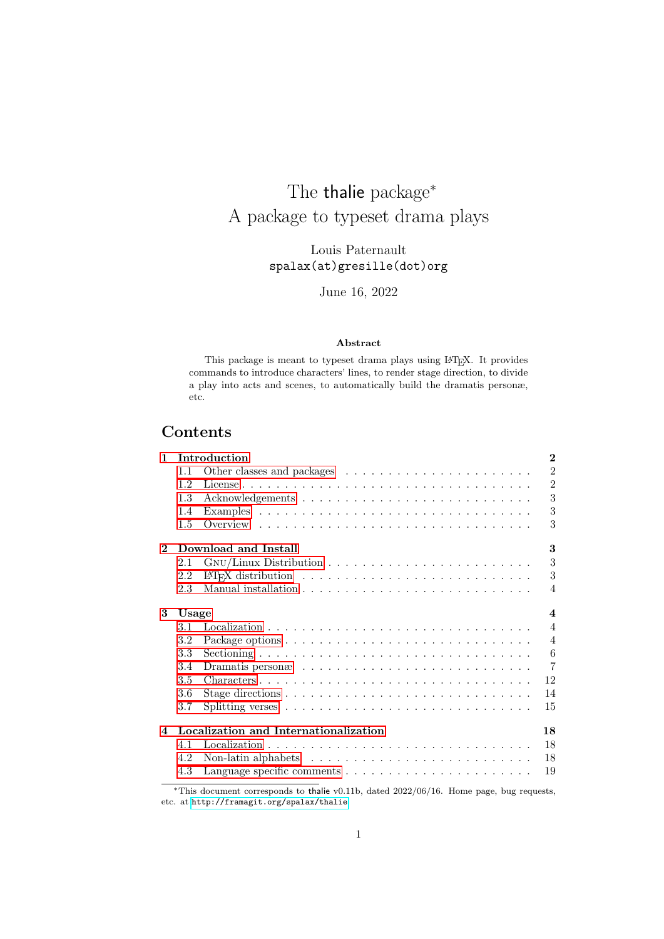## The thalie package<sup>\*</sup> A package to typeset drama plays

Louis Paternault spalax(at)gresille(dot)org

June 16, 2022

#### Abstract

This package is meant to typeset drama plays using LATEX. It provides commands to introduce characters' lines, to render stage direction, to divide a play into acts and scenes, to automatically build the dramatis personæ, etc.

## Contents

| 1                       |                                 | Introduction                                                                                           | $\bf{2}$       |  |  |
|-------------------------|---------------------------------|--------------------------------------------------------------------------------------------------------|----------------|--|--|
|                         | 1.1                             |                                                                                                        | $\overline{2}$ |  |  |
|                         | 12                              |                                                                                                        | $\overline{2}$ |  |  |
|                         | 1.3                             |                                                                                                        | 3              |  |  |
|                         | 1.4                             |                                                                                                        | 3              |  |  |
|                         | 1.5                             |                                                                                                        | 3              |  |  |
| $\mathbf{2}$            | 3<br>Download and Install       |                                                                                                        |                |  |  |
|                         | 2.1                             |                                                                                                        | 3              |  |  |
|                         | 2.2                             |                                                                                                        | 3              |  |  |
|                         | 2.3                             |                                                                                                        | 4              |  |  |
| 3                       | $\boldsymbol{\Lambda}$<br>Usage |                                                                                                        |                |  |  |
|                         | 3.1                             |                                                                                                        | $\overline{4}$ |  |  |
|                         | 3.2                             |                                                                                                        | $\overline{4}$ |  |  |
|                         | 3.3                             |                                                                                                        | 6              |  |  |
|                         | 3.4                             |                                                                                                        | $\overline{7}$ |  |  |
|                         | 3.5                             | $Characters \ldots \ldots \ldots \ldots \ldots \ldots \ldots \ldots \ldots \ldots \ldots \ldots$<br>12 |                |  |  |
|                         | 3.6                             | 14                                                                                                     |                |  |  |
|                         | 3.7                             | 15                                                                                                     |                |  |  |
| $\overline{\mathbf{4}}$ |                                 | Localization and Internationalization<br>18                                                            |                |  |  |
|                         | 4.1                             | 18                                                                                                     |                |  |  |
|                         | 4.2                             | Non-latin alphabets $\ldots \ldots \ldots \ldots \ldots \ldots \ldots \ldots$<br>18                    |                |  |  |
|                         | 4.3                             | 19                                                                                                     |                |  |  |

<sup>∗</sup>This document corresponds to thalie v0.11b, dated 2022/06/16. Home page, bug requests, etc. at <http://framagit.org/spalax/thalie>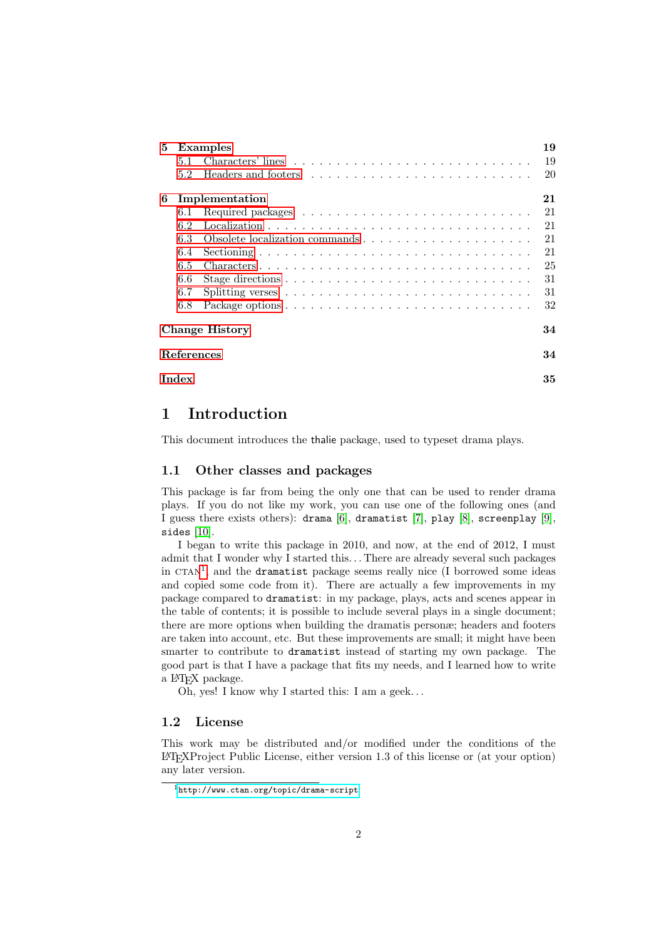| 5                 |       | Examples       | 19 |
|-------------------|-------|----------------|----|
|                   | 5.1   |                | 19 |
|                   | 5.2   |                | 20 |
| 6                 |       | Implementation | 21 |
|                   | 6.1   |                | 21 |
|                   | 6.2   |                | 21 |
|                   | 6.3   |                | 21 |
|                   | 6.4   |                | 21 |
|                   | 6.5   |                | 25 |
|                   | 6.6   |                | 31 |
|                   | 6.7   |                | 31 |
|                   | 6.8   |                | 32 |
|                   |       | Change History | 34 |
| <b>References</b> |       |                |    |
|                   | Index |                | 35 |

## <span id="page-1-0"></span>1 Introduction

This document introduces the thalie package, used to typeset drama plays.

#### <span id="page-1-1"></span>1.1 Other classes and packages

This package is far from being the only one that can be used to render drama plays. If you do not like my work, you can use one of the following ones (and I guess there exists others): drama [\[6\]](#page-33-1), dramatist [\[7\]](#page-34-0), play [\[8\]](#page-34-1), screenplay [\[9\]](#page-34-2), sides [\[10\]](#page-34-3).

I began to write this package in 2010, and now, at the end of 2012, I must admit that I wonder why I started this. . . There are already several such packages in  $CTAN<sup>1</sup>$  $CTAN<sup>1</sup>$  $CTAN<sup>1</sup>$ , and the dramatist package seems really nice (I borrowed some ideas and copied some code from it). There are actually a few improvements in my package compared to dramatist: in my package, plays, acts and scenes appear in the table of contents; it is possible to include several plays in a single document; there are more options when building the dramatis personæ; headers and footers are taken into account, etc. But these improvements are small; it might have been smarter to contribute to dramatist instead of starting my own package. The good part is that I have a package that fits my needs, and I learned how to write a LATEX package.

Oh, yes! I know why I started this: I am a geek. . .

#### <span id="page-1-2"></span>1.2 License

This work may be distributed and/or modified under the conditions of the LATEXProject Public License, either version 1.3 of this license or (at your option) any later version.

<span id="page-1-3"></span><sup>1</sup><http://www.ctan.org/topic/drama-script>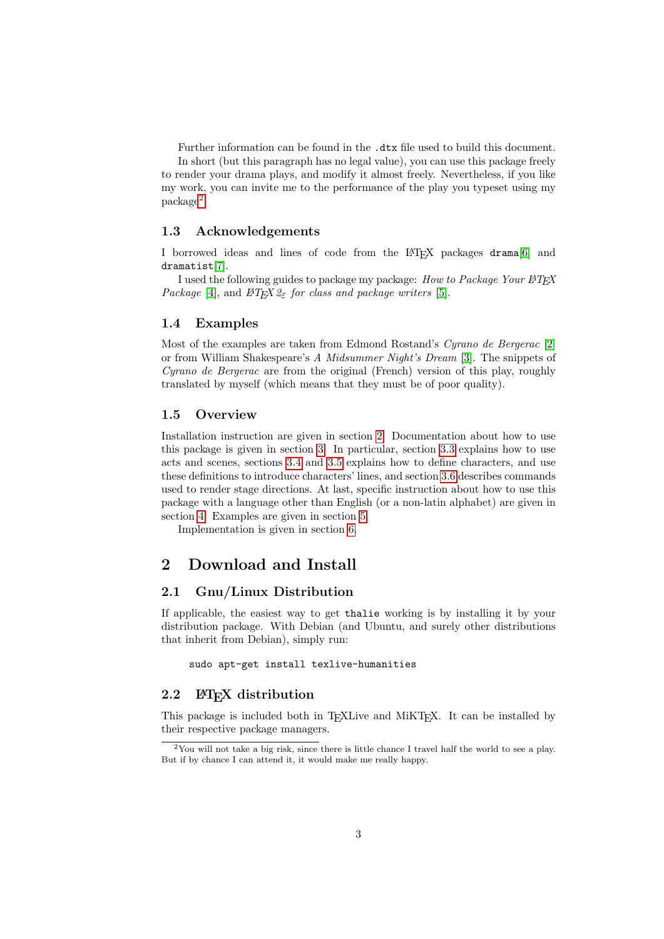Further information can be found in the .dtx file used to build this document. In short (but this paragraph has no legal value), you can use this package freely to render your drama plays, and modify it almost freely. Nevertheless, if you like my work, you can invite me to the performance of the play you typeset using my package[2](#page-2-6) .

#### <span id="page-2-0"></span>1.3 Acknowledgements

I borrowed ideas and lines of code from the LATEX packages drama[\[6\]](#page-33-1) and dramatist[\[7\]](#page-34-0).

I used the following guides to package my package: How to Package Your  $\cancel{B T}$ FX Package [\[4\]](#page-33-2), and  $BT_F X2\varepsilon$  for class and package writers [\[5\]](#page-33-3).

#### <span id="page-2-1"></span>1.4 Examples

Most of the examples are taken from Edmond Rostand's Cyrano de Bergerac [\[2\]](#page-33-4) or from William Shakespeare's A Midsummer Night's Dream [\[3\]](#page-33-5). The snippets of Cyrano de Bergerac are from the original (French) version of this play, roughly translated by myself (which means that they must be of poor quality).

#### <span id="page-2-2"></span>1.5 Overview

Installation instruction are given in section [2.](#page-2-3) Documentation about how to use this package is given in section [3.](#page-3-1) In particular, section [3.3](#page-5-0) explains how to use acts and scenes, sections [3.4](#page-6-0) and [3.5](#page-11-0) explains how to define characters, and use these definitions to introduce characters' lines, and section [3.6](#page-13-0) describes commands used to render stage directions. At last, specific instruction about how to use this package with a language other than English (or a non-latin alphabet) are given in section [4.](#page-17-0) Examples are given in section [5.](#page-18-1)

Implementation is given in section [6.](#page-20-0)

## <span id="page-2-3"></span>2 Download and Install

#### <span id="page-2-4"></span>2.1 Gnu/Linux Distribution

If applicable, the easiest way to get thalie working is by installing it by your distribution package. With Debian (and Ubuntu, and surely other distributions that inherit from Debian), simply run:

sudo apt-get install texlive-humanities

#### <span id="page-2-5"></span>2.2 LAT<sub>EX</sub> distribution

This package is included both in T<sub>EXL</sub>ive and MiKT<sub>EX</sub>. It can be installed by their respective package managers.

<span id="page-2-6"></span><sup>&</sup>lt;sup>2</sup>You will not take a big risk, since there is little chance I travel half the world to see a play. But if by chance I can attend it, it would make me really happy.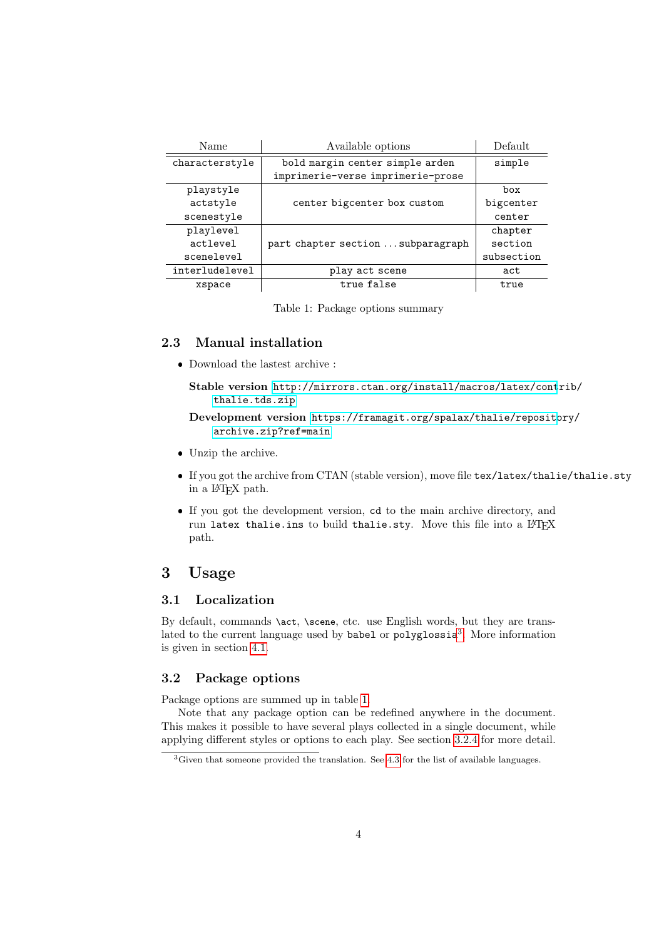| Name           | Available options                  | Default    |
|----------------|------------------------------------|------------|
| characterstyle | bold margin center simple arden    | simple     |
|                | imprimerie-verse imprimerie-prose  |            |
| playstyle      |                                    | box        |
| actstyle       | center bigcenter box custom        | bigcenter  |
| scenestyle     |                                    | center     |
| playlevel      |                                    | chapter    |
| actlevel       | part chapter section  subparagraph | section    |
| scenelevel     |                                    | subsection |
| interludelevel | play act scene                     | act        |
| xspace         | true false                         | true       |

<span id="page-3-5"></span>Table 1: Package options summary

#### <span id="page-3-0"></span>2.3 Manual installation

Download the lastest archive :

Stable version [http://mirrors.ctan.org/install/macros/latex/cont](http://mirrors.ctan.org/install/macros/latex/contrib/thalie.tds.zip)rib/ [thalie.tds.zip](http://mirrors.ctan.org/install/macros/latex/contrib/thalie.tds.zip)

Development version [https://framagit.org/spalax/thalie/reposit](https://framagit.org/spalax/thalie/repository/archive.zip?ref=main)ory/ [archive.zip?ref=main](https://framagit.org/spalax/thalie/repository/archive.zip?ref=main)

- Unzip the archive.
- If you got the archive from CTAN (stable version), move file tex/latex/thalie/thalie.sty in a LATEX path.
- If you got the development version, cd to the main archive directory, and run latex thalie.ins to build thalie.sty. Move this file into a LATFX path.

## <span id="page-3-1"></span>3 Usage

#### <span id="page-3-2"></span>3.1 Localization

By default, commands \act, \scene, etc. use English words, but they are trans-lated to the current language used by babel or polyglossia<sup>[3](#page-3-4)</sup>. More information is given in section [4.1.](#page-17-1)

#### <span id="page-3-3"></span>3.2 Package options

Package options are summed up in table [1.](#page-3-5)

Note that any package option can be redefined anywhere in the document. This makes it possible to have several plays collected in a single document, while applying different styles or options to each play. See section [3.2.4](#page-4-0) for more detail.

<span id="page-3-4"></span><sup>&</sup>lt;sup>3</sup>Given that someone provided the translation. See [4.3](#page-18-0) for the list of available languages.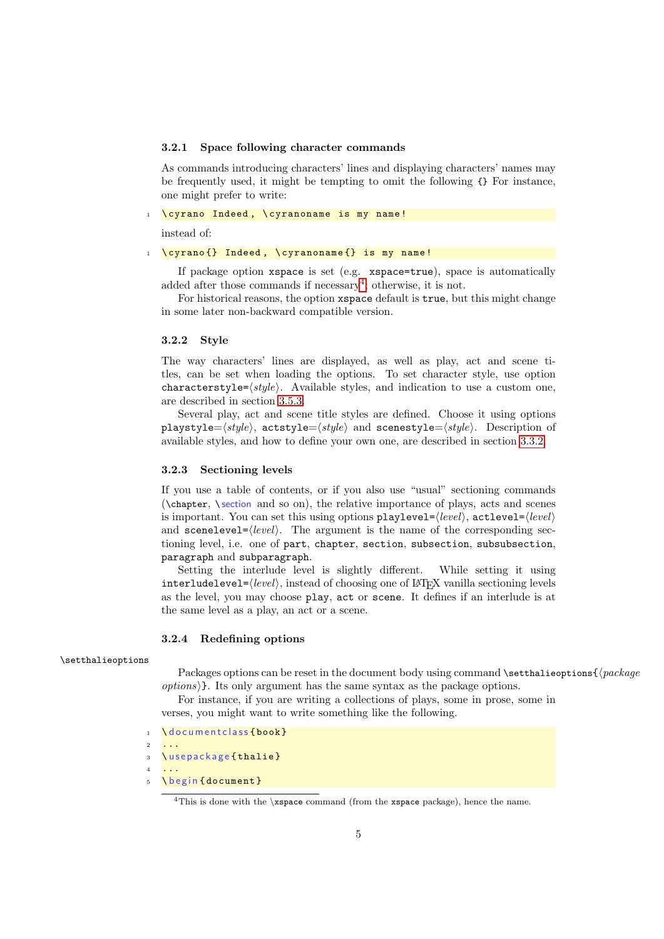#### 3.2.1 Space following character commands

As commands introducing characters' lines and displaying characters' names may be frequently used, it might be tempting to omit the following {} For instance, one might prefer to write:

\cyrano Indeed, \cyranoname is my name!

instead of:

#### \cyrano {} Indeed, \cyranoname {} is my name!

If package option xspace is set (e.g. xspace=true), space is automatically added after those commands if necessary<sup>[4](#page-4-1)</sup>; otherwise, it is not.

For historical reasons, the option xspace default is true, but this might change in some later non-backward compatible version.

#### 3.2.2 Style

The way characters' lines are displayed, as well as play, act and scene titles, can be set when loading the options. To set character style, use option characterstyle= $\langle style\rangle$ . Available styles, and indication to use a custom one, are described in section [3.5.3.](#page-13-1)

Several play, act and scene title styles are defined. Choose it using options playstyle= $\langle style\rangle$ , actstyle= $\langle style\rangle$  and scenestyle= $\langle style\rangle$ . Description of available styles, and how to define your own one, are described in section [3.3.2.](#page-6-1)

#### 3.2.3 Sectioning levels

If you use a table of contents, or if you also use "usual" sectioning commands (\chapter, \ section and so on), the relative importance of plays, acts and scenes is important. You can set this using options playlevel=⟨level⟩, actlevel=⟨level⟩ and  $scenelevel={\langle level \rangle}$ . The argument is the name of the corresponding sectioning level, i.e. one of part, chapter, section, subsection, subsubsection, paragraph and subparagraph.

Setting the interlude level is slightly different. While setting it using interludelevel= $\langle level \rangle$ , instead of choosing one of  $\rm \mathit{IFTK}$  vanilla sectioning levels as the level, you may choose play, act or scene. It defines if an interlude is at the same level as a play, an act or a scene.

#### <span id="page-4-0"></span>3.2.4 Redefining options

#### \setthalieoptions

Packages options can be reset in the document body using command \setthalieoptions{ $\langle package$ options⟩}. Its only argument has the same syntax as the package options.

For instance, if you are writing a collections of plays, some in prose, some in verses, you might want to write something like the following.

- 1 \documentclass{book}
- <sup>2</sup> ... 3 \ u s e p a c k a g e { thalie }
- <sup>4</sup> ...
- 5 \ begin { document }

<span id="page-4-1"></span><sup>&</sup>lt;sup>4</sup>This is done with the  $\x$ space command (from the xspace package), hence the name.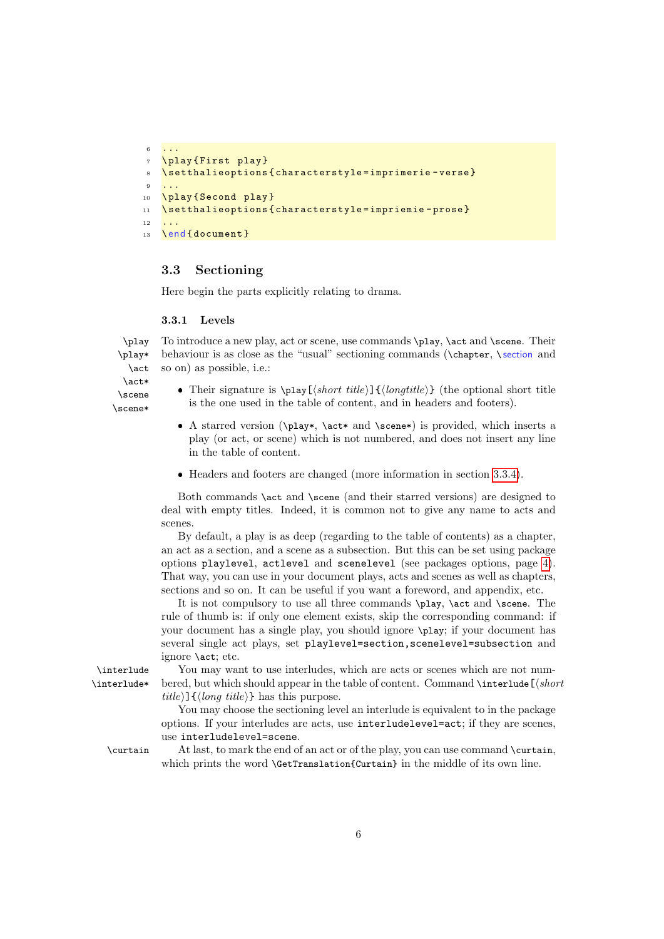```
6 \cdot \cdot \cdot7 \ play { First play }
8 \ setthalieoptions { characterstyle = imprimerie - verse }
 9 ...
10 \play {Second play}
11 \setthalieoptions { characterstyle = impriemie - prose }
12 ...
13 \ end { document }
```
#### <span id="page-5-0"></span>3.3 Sectioning

Here begin the parts explicitly relating to drama.

#### 3.3.1 Levels

\play To introduce a new play, act or scene, use commands \play, \act and \scene. Their \play\* \act behaviour is as close as the "usual" sectioning commands (\chapter, \ section and so on) as possible, i.e.:

\act\* \scene \scene\*

- Their signature is  $\pi(\sh{orbit\,tilde{\theta}})$  (the optional short title is the one used in the table of content, and in headers and footers).
- A starred version (\play\*, \act\* and \scene\*) is provided, which inserts a play (or act, or scene) which is not numbered, and does not insert any line in the table of content.
- Headers and footers are changed (more information in section [3.3.4\)](#page-6-2).

Both commands \act and \scene (and their starred versions) are designed to deal with empty titles. Indeed, it is common not to give any name to acts and scenes.

By default, a play is as deep (regarding to the table of contents) as a chapter, an act as a section, and a scene as a subsection. But this can be set using package options playlevel, actlevel and scenelevel (see packages options, page [4\)](#page-3-3). That way, you can use in your document plays, acts and scenes as well as chapters, sections and so on. It can be useful if you want a foreword, and appendix, etc.

It is not compulsory to use all three commands \play, \act and \scene. The rule of thumb is: if only one element exists, skip the corresponding command: if your document has a single play, you should ignore \play; if your document has several single act plays, set playlevel=section,scenelevel=subsection and ignore \act; etc.

\interlude You may want to use interludes, which are acts or scenes which are not num- \interlude\* bered, but which should appear in the table of content. Command \interlude[⟨short  $title$ } { $\langle long title \rangle$ } has this purpose.

> You may choose the sectioning level an interlude is equivalent to in the package options. If your interludes are acts, use interludelevel=act; if they are scenes, use interludelevel=scene.

\curtain At last, to mark the end of an act or of the play, you can use command \curtain, which prints the word **\GetTranslation{Curtain}** in the middle of its own line.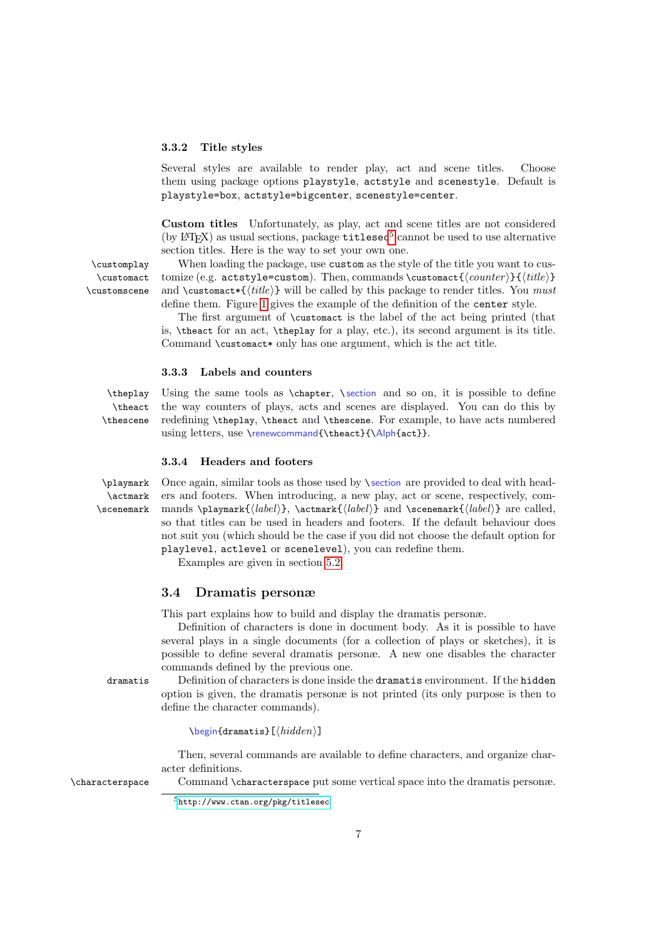#### <span id="page-6-1"></span>3.3.2 Title styles

Several styles are available to render play, act and scene titles. Choose them using package options playstyle, actstyle and scenestyle. Default is playstyle=box, actstyle=bigcenter, scenestyle=center.

Custom titles Unfortunately, as play, act and scene titles are not considered (by  $\rm EPEX$ ) as usual sections, package  $\tt titlesec^5$  $\tt titlesec^5$  cannot be used to use alternative section titles. Here is the way to set your own one.

\customact \customscene

\customplay When loading the package, use custom as the style of the title you want to cus tomize (e.g. actstyle=custom). Then, commands \customact{ $\langle counter \rangle$ }{ $\langle title \rangle$ } and \customact\*{ $\{title\}$ } will be called by this package to render titles. You must define them. Figure [1](#page-8-0) gives the example of the definition of the center style.

> The first argument of \customact is the label of the act being printed (that is, \theact for an act, \theplay for a play, etc.), its second argument is its title. Command \customact\* only has one argument, which is the act title.

#### 3.3.3 Labels and counters

\theact \thescene

\theplay Using the same tools as \chapter, \ section and so on, it is possible to define the way counters of plays, acts and scenes are displayed. You can do this by redefining \theplay, \theact and \thescene. For example, to have acts numbered using letters, use \renewcommand{\theact}{\Alph{act}}.

#### <span id="page-6-2"></span>3.3.4 Headers and footers

\actmark \scenemark

\playmark Once again, similar tools as those used by \ section are provided to deal with head ers and footers. When introducing, a new play, act or scene, respectively, commands \playmark{ $\langle label \rangle$ }, \actmark{ $\langle label \rangle$ } and \scenemark{ $\langle label \rangle$ } are called, so that titles can be used in headers and footers. If the default behaviour does not suit you (which should be the case if you did not choose the default option for playlevel, actlevel or scenelevel), you can redefine them.

Examples are given in section [5.2.](#page-19-0)

#### <span id="page-6-0"></span>3.4 Dramatis personæ

This part explains how to build and display the dramatis personæ.

Definition of characters is done in document body. As it is possible to have several plays in a single documents (for a collection of plays or sketches), it is possible to define several dramatis personæ. A new one disables the character commands defined by the previous one.

dramatis Definition of characters is done inside the dramatis environment. If the hidden option is given, the dramatis personæ is not printed (its only purpose is then to define the character commands).

\begin{dramatis}[⟨hidden⟩]

Then, several commands are available to define characters, and organize character definitions.

\characterspace Command \characterspace put some vertical space into the dramatis personæ.

<span id="page-6-3"></span><sup>5</sup><http://www.ctan.org/pkg/titlesec>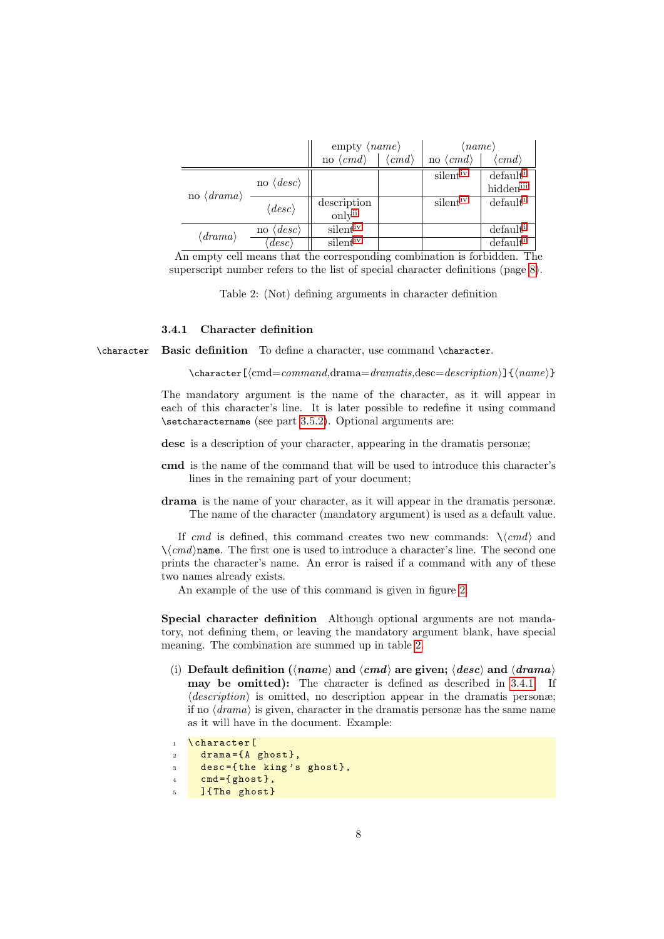|                                  |                              | empty $\langle name \rangle$                                                       |                       | $\langle name \rangle$   |                         |
|----------------------------------|------------------------------|------------------------------------------------------------------------------------|-----------------------|--------------------------|-------------------------|
|                                  |                              | no $\langle cmd \rangle$                                                           | $\langle cmd \rangle$ | no $\langle cmd \rangle$ | $\langle\, cmd \rangle$ |
|                                  | no $\langle desc \rangle$    |                                                                                    |                       | silent <sup>iv</sup>     | default <sup>i</sup>    |
| no $\langle \, drama \rangle$    |                              |                                                                                    |                       |                          | hidden <sup>iii</sup>   |
|                                  | $\langle desc \rangle$       | $\begin{array}{c} \mathrm{description} \\ \mathrm{only}^{\mathrm{ii}} \end{array}$ |                       | $s$ ilent <sup>1</sup>   | default <sup>1</sup>    |
|                                  |                              |                                                                                    |                       |                          |                         |
| $\langle \textit{drama} \rangle$ | $\langle desc \rangle$<br>no | silent <sup>iv</sup>                                                               |                       |                          | default <sup>1</sup>    |
|                                  | $\langle desc \rangle$       | silent <sup>iv</sup>                                                               |                       |                          | default <sup>1</sup>    |

An empty cell means that the corresponding combination is forbidden. The superscript number refers to the list of special character definitions (page [8\)](#page-7-1).

<span id="page-7-1"></span>Table 2: (Not) defining arguments in character definition

#### <span id="page-7-2"></span>3.4.1 Character definition

\character Basic definition To define a character, use command \character.

\character[⟨cmd=command,drama=dramatis,desc=description⟩]{⟨name⟩}

The mandatory argument is the name of the character, as it will appear in each of this character's line. It is later possible to redefine it using command \setcharactername (see part [3.5.2\)](#page-11-1). Optional arguments are:

desc is a description of your character, appearing in the dramatis personæ;

- cmd is the name of the command that will be used to introduce this character's lines in the remaining part of your document;
- drama is the name of your character, as it will appear in the dramatis personæ. The name of the character (mandatory argument) is used as a default value.

If cmd is defined, this command creates two new commands:  $\langle \langle cmd \rangle$  and  $\langle \langle \text{cmd} \rangle$ name. The first one is used to introduce a character's line. The second one prints the character's name. An error is raised if a command with any of these two names already exists.

An example of the use of this command is given in figure [2.](#page-8-1)

Special character definition Although optional arguments are not mandatory, not defining them, or leaving the mandatory argument blank, have special meaning. The combination are summed up in table [2.](#page-7-1)

<span id="page-7-0"></span>(i) Default definition ( $\langle name \rangle$  and  $\langle cmd \rangle$  are given;  $\langle desc \rangle$  and  $\langle dramab \rangle$ may be omitted): The character is defined as described in [3.4.1.](#page-7-2) If  $\langle \text{description} \rangle$  is omitted, no description appear in the dramatis persone; if no  $\langle \text{drama} \rangle$  is given, character in the dramatis personæ has the same name as it will have in the document. Example:

```
1 \character [
2 drama={A ghost},
3 desc={the king's ghost},
4 cmd={ghost},
    5 ]{ The ghost }
```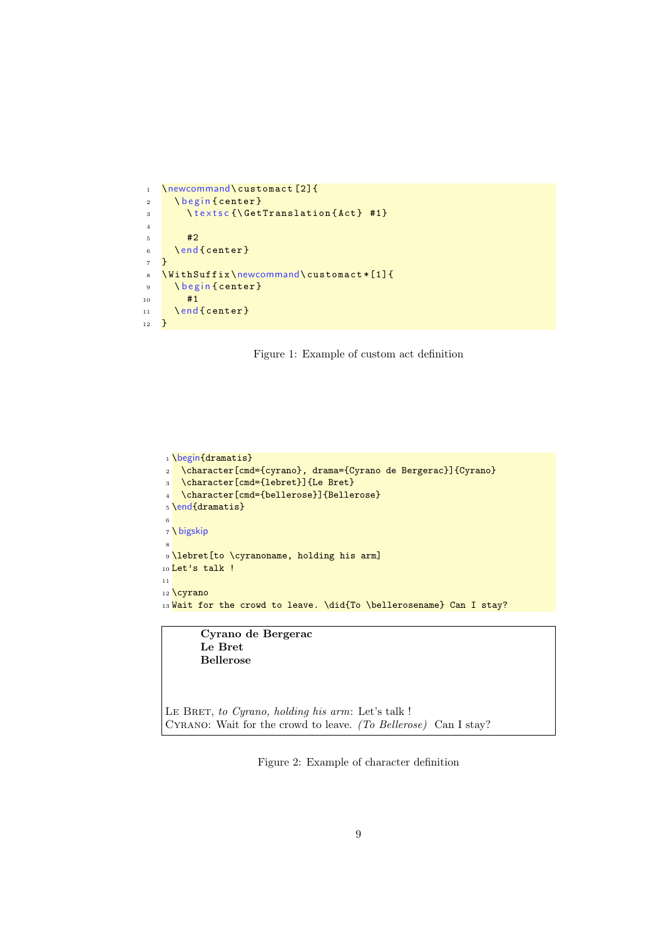```
1 \newcommand\customact [2] {
2 \ begin { center }
3 \ textsc {\GetTranslation {Act } #1}
4
5 \qquad \qquad \frac{42}{2}6 \ end { center }
7 }
8 \ WithSuffix\newcommand\ customact * [1] {
9 \ begin { center }
10 #1
11 \ end { center }
12 \quad \gamma
```
<span id="page-8-0"></span>

```
1 \begin{dramatis}
2 \character[cmd={cyrano}, drama={Cyrano de Bergerac}]{Cyrano}
3 \character[cmd={lebret}]{Le Bret}
4 \character[cmd={bellerose}]{Bellerose}
5 \end{dramatis}
6
7 \ bigskip
 8
9 \lebret[to \cyranoname, holding his arm]
10 Let's talk !
11
12 \sqrt{cyrano}13 Wait for the crowd to leave. \did{To \bellerosename} Can I stay?
```
Cyrano de Bergerac Le Bret Bellerose

<span id="page-8-1"></span>LE BRET, to Cyrano, holding his arm: Let's talk ! Cyrano: Wait for the crowd to leave. (To Bellerose) Can I stay?

Figure 2: Example of character definition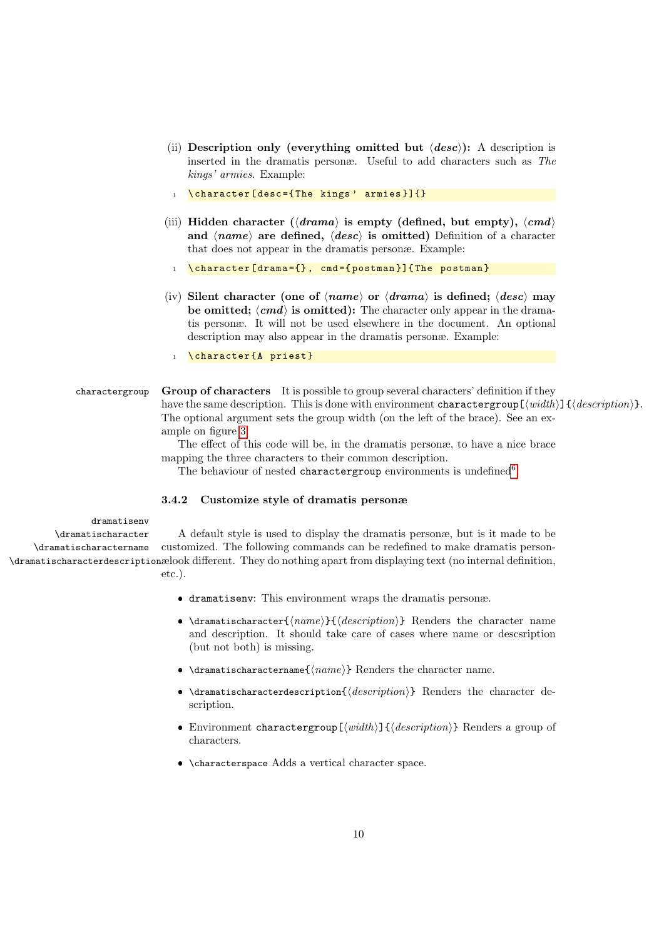- <span id="page-9-2"></span>(ii) Description only (everything omitted but  $\langle desc \rangle$ ): A description is inserted in the dramatis personæ. Useful to add characters such as The kings' armies. Example:
- 1 \character [desc={The kings' armies}] {}
- <span id="page-9-1"></span>(iii) Hidden character ( $\langle \langle \langle \langle \rangle \rangle \rangle$  is empty (defined, but empty),  $\langle \langle \langle \rangle \rangle$ and  $\langle name \rangle$  are defined,  $\langle desc \rangle$  is omitted) Definition of a character that does not appear in the dramatis personæ. Example:
	- 1 \character [drama= $\{\}$ , cmd= $\{$ postman }] $\{$ The postman }
- <span id="page-9-0"></span>(iv) Silent character (one of  $\langle name \rangle$  or  $\langle dramab \rangle$  is defined;  $\langle desc \rangle$  may be omitted;  $\langle cmd \rangle$  is omitted): The character only appear in the dramatis personæ. It will not be used elsewhere in the document. An optional description may also appear in the dramatis personæ. Example:
	- 1 \character{A priest}

#### charactergroup Group of characters It is possible to group several characters' definition if they have the same description. This is done with environment charactergroup  $[\langle width \rangle] \{ \langle description \rangle \}$ . The optional argument sets the group width (on the left of the brace). See an example on figure [3.](#page-10-0)

The effect of this code will be, in the dramatis personæ, to have a nice brace mapping the three characters to their common description.

The behaviour of nested charactergroup environments is undefined<sup>[6](#page-11-2)</sup>.

#### 3.4.2 Customize style of dramatis personæ

#### dramatisenv

\dramatischaracter \dramatischaractername \dramatischaracterdescription ælook different. They do nothing apart from displaying text (no internal definition, A default style is used to display the dramatis personæ, but is it made to be customized. The following commands can be redefined to make dramatis personetc.).

- dramatisenv: This environment wraps the dramatis personæ.
- $\bullet$  \dramatischaracter{ $\langle name \rangle$ }{ $\langle description \rangle$ } Renders the character name and description. It should take care of cases where name or descsription (but not both) is missing.
- $\bullet$  \dramatischaractername{ $\langle name \rangle$ } Renders the character name.
- $\bullet$  \dramatischaracterdescription{ $\langle \text{description} \rangle$ } Renders the character description.
- Environment charactergroup[⟨width⟩]{⟨description⟩} Renders a group of characters.
- \characterspace Adds a vertical character space.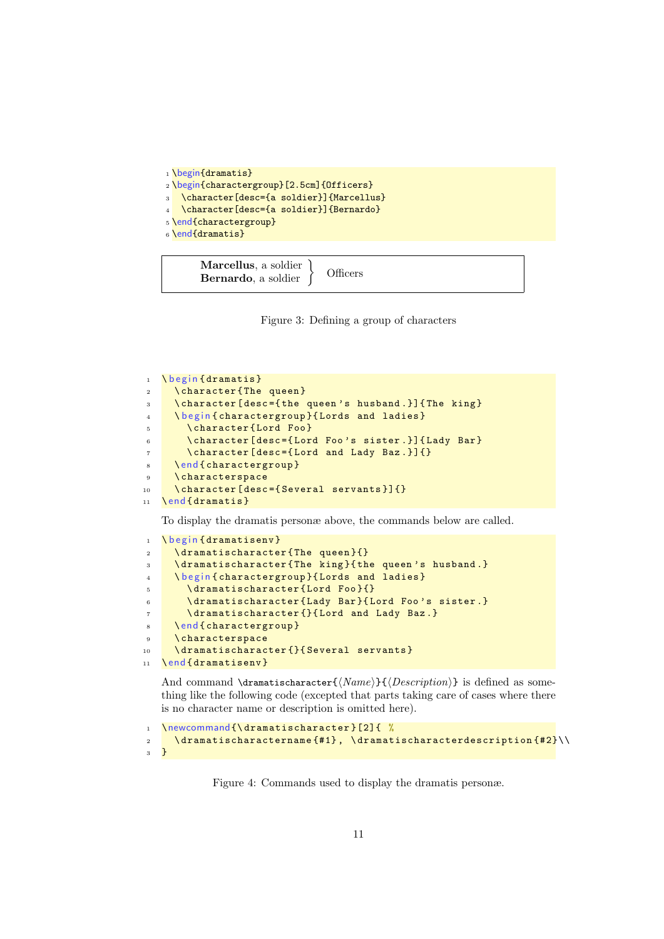```
1 \begin{dramatis}
2 \begin{charactergroup}[2.5cm]{Officers}
3 \character[desc={a soldier}]{Marcellus}
  \character[desc={a soldier}]{Bernardo}
5 \end{charactergroup}
6 \end{dramatis}
```
<span id="page-10-0"></span>

Figure 3: Defining a group of characters

```
1 \ b e g in { dramatis }
2 \ character { The queen }
3 \ character [desc={the queen's husband.}] { The king }
4 \ begin { charactergroup } { Lords and ladies }
5 \ character { Lord Foo }
6 \backslash character [desc = {Lord Foo's sister .}] {Lady Bar }
7 \ character [ desc ={ Lord and Lady Baz .}]{}
8 \ end { charactergroup }
9 \ characterspace
10 \character [desc={Several servants}] {}
11 \end { dramatis }
```
To display the dramatis personæ above, the commands below are called.

```
1 \begin {dramatisenv}
2 \dramatischaracter{The queen}{}
3 \dramatischaracter{The king}{the queen's husband.}
4 \ begin { charactergroup } { Lords and ladies }
5 \ dramatischaracter { Lord Foo }{}
6 \dramatischaracter{Lady Bar}{Lord Foo's sister.}
7 \ dramatischaracter {}{ Lord and Lady Baz .}
8 \ end { charactergroup }
9 \ characterspace
10 \dramatischaracter{}{Several servants}
11 \end { dramatisenv }
```
And command \dramatischaracter{ $\langle Name \rangle$ }{ $\langle Description \rangle$ } is defined as something like the following code (excepted that parts taking care of cases where there is no character name or description is omitted here).

```
1 \newcommand{\dramatischaracter}[2]{ %
2 \lambda dramatischaractername {#1}, \dramatischaracterdescription {#2}\\
3 }
```
Figure 4: Commands used to display the dramatis personæ.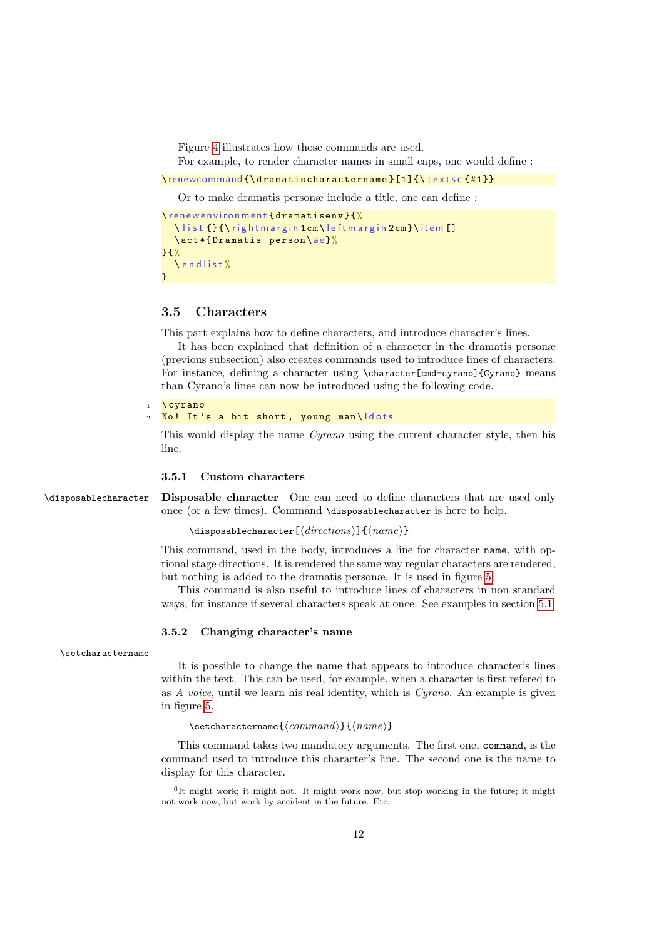Figure [4](#page-10-1) illustrates how those commands are used.

For example, to render character names in small caps, one would define :

\renewcommand {\dramatischaractername } [1] {\textsc {#1}}

Or to make dramatis personæ include a title, one can define :

```
\ r e n e w e n v i r o n m e n t { d r a m a t i s e n v } { %
  \list {}{\rightmargin1cm\leftmargin2cm}\item []
  \ act *{ Dramatis person \ ae }%
}{%
   \ e n d l i s t %
}
```
#### <span id="page-11-0"></span>3.5 Characters

This part explains how to define characters, and introduce character's lines.

It has been explained that definition of a character in the dramatis personæ (previous subsection) also creates commands used to introduce lines of characters. For instance, defining a character using \character[cmd=cyrano]{Cyrano} means than Cyrano's lines can now be introduced using the following code.

```
1 \ cyrano
2 No! It's a bit short, young man\ldots
```
This would display the name Cyrano using the current character style, then his line.

#### 3.5.1 Custom characters

\disposablecharacter Disposable character One can need to define characters that are used only once (or a few times). Command \disposablecharacter is here to help.

```
\disposablecharacter[⟨directions⟩]{⟨name⟩}
```
This command, used in the body, introduces a line for character name, with optional stage directions. It is rendered the same way regular characters are rendered, but nothing is added to the dramatis personæ. It is used in figure [5.](#page-12-0)

This command is also useful to introduce lines of characters in non standard ways, for instance if several characters speak at once. See examples in section [5.1.](#page-18-2)

#### <span id="page-11-1"></span>3.5.2 Changing character's name

\setcharactername

It is possible to change the name that appears to introduce character's lines within the text. This can be used, for example, when a character is first refered to as A voice, until we learn his real identity, which is Cyrano. An example is given in figure [5.](#page-12-0)

#### \setcharactername{⟨command⟩}{⟨name⟩}

This command takes two mandatory arguments. The first one, command, is the command used to introduce this character's line. The second one is the name to display for this character.

<span id="page-11-2"></span><sup>6</sup> It might work; it might not. It might work now, but stop working in the future; it might not work now, but work by accident in the future. Etc.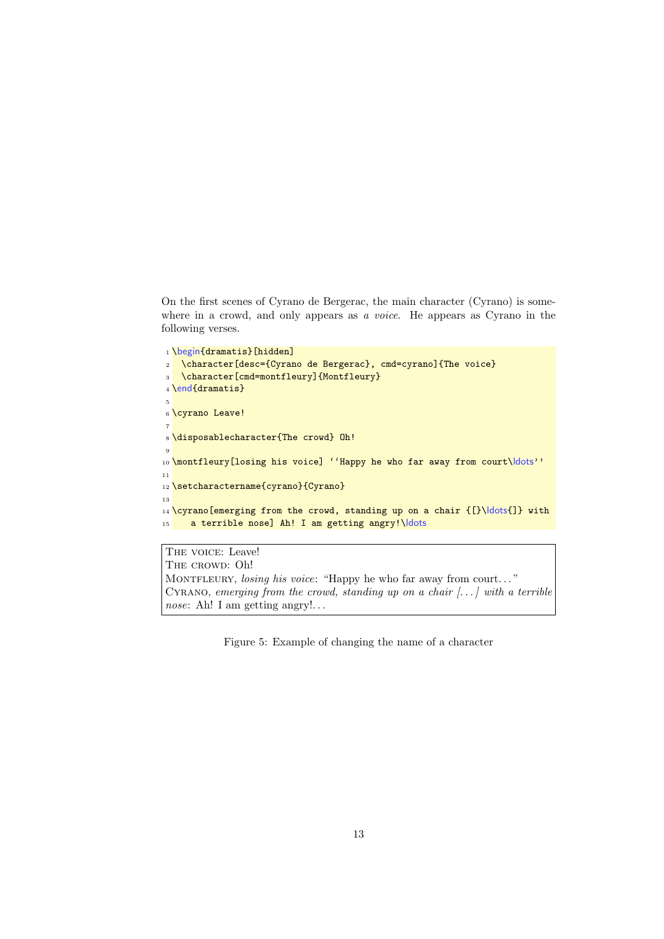On the first scenes of Cyrano de Bergerac, the main character (Cyrano) is somewhere in a crowd, and only appears as a voice. He appears as Cyrano in the following verses.

```
1 \begin{dramatis}[hidden]
2 \character[desc={Cyrano de Bergerac}, cmd=cyrano]{The voice}
3 \character[cmd=montfleury]{Montfleury}
4 \end{dramatis}
5
6 \cyrano Leave!
 7
8 \disposablecharacter{The crowd} Oh!
\overline{9}10 \montfleury[losing his voice] ''Happy he who far away from court\ dots''
11
12 \setcharactername{cyrano}{Cyrano}
13
14 \sqrt{cyrano[emerging from the crowd, standing up on a chair {[}\ldots{}] with}15 a terrible nose] Ah! I am getting angry!\ldots
```
THE VOICE: Leave! THE CROWD: Oh! MONTFLEURY, *losing his voice*: "Happy he who far away from court..." CYRANO, emerging from the crowd, standing up on a chair  $[...]$  with a terrible nose: Ah! I am getting angry!...

<span id="page-12-0"></span>Figure 5: Example of changing the name of a character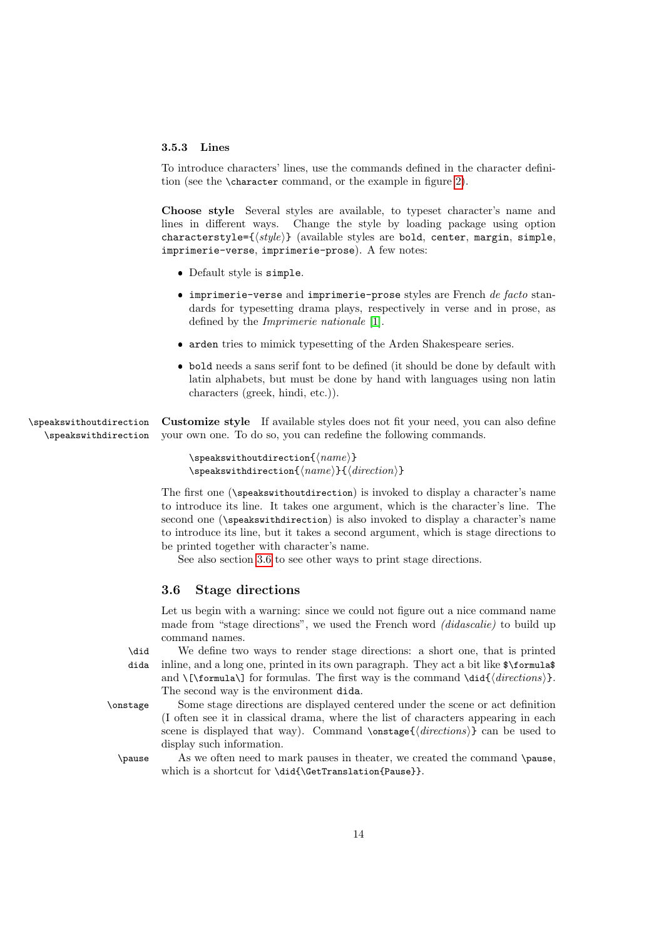#### <span id="page-13-1"></span>3.5.3 Lines

To introduce characters' lines, use the commands defined in the character definition (see the \character command, or the example in figure [2\)](#page-8-1).

Choose style Several styles are available, to typeset character's name and lines in different ways. Change the style by loading package using option characterstyle={ $\langle style\rangle$ } (available styles are bold, center, margin, simple, imprimerie-verse, imprimerie-prose). A few notes:

- Default style is simple.
- $\bullet$  imprimerie-verse and imprimerie-prose styles are French de facto standards for typesetting drama plays, respectively in verse and in prose, as defined by the Imprimerie nationale [\[1\]](#page-33-6).
- arden tries to mimick typesetting of the Arden Shakespeare series.
- bold needs a sans serif font to be defined (it should be done by default with latin alphabets, but must be done by hand with languages using non latin characters (greek, hindi, etc.)).

\speakswithoutdirection Customize style If available styles does not fit your need, you can also define \speakswithdirection your own one. To do so, you can redefine the following commands.

```
\verb|\speakswithoutdirection {{\langle name \rangle}}\speakswithdirection{⟨name⟩}{⟨direction⟩}
```
The first one (\speakswithoutdirection) is invoked to display a character's name to introduce its line. It takes one argument, which is the character's line. The second one (\speakswithdirection) is also invoked to display a character's name to introduce its line, but it takes a second argument, which is stage directions to be printed together with character's name.

See also section [3.6](#page-13-0) to see other ways to print stage directions.

#### <span id="page-13-0"></span>3.6 Stage directions

Let us begin with a warning: since we could not figure out a nice command name made from "stage directions", we used the French word *(didascalie)* to build up command names.

\did We define two ways to render stage directions: a short one, that is printed dida inline, and a long one, printed in its own paragraph. They act a bit like \$\formula\$ and  $\{\of{arccos}\$  for formulas. The first way is the command  $\ddot{\of{directions}\}$ . The second way is the environment dida.

\onstage Some stage directions are displayed centered under the scene or act definition (I often see it in classical drama, where the list of characters appearing in each scene is displayed that way). Command  $\onumber \{\text{directions}\}\$  can be used to display such information.

\pause As we often need to mark pauses in theater, we created the command \pause, which is a shortcut for \did{\GetTranslation{Pause}}.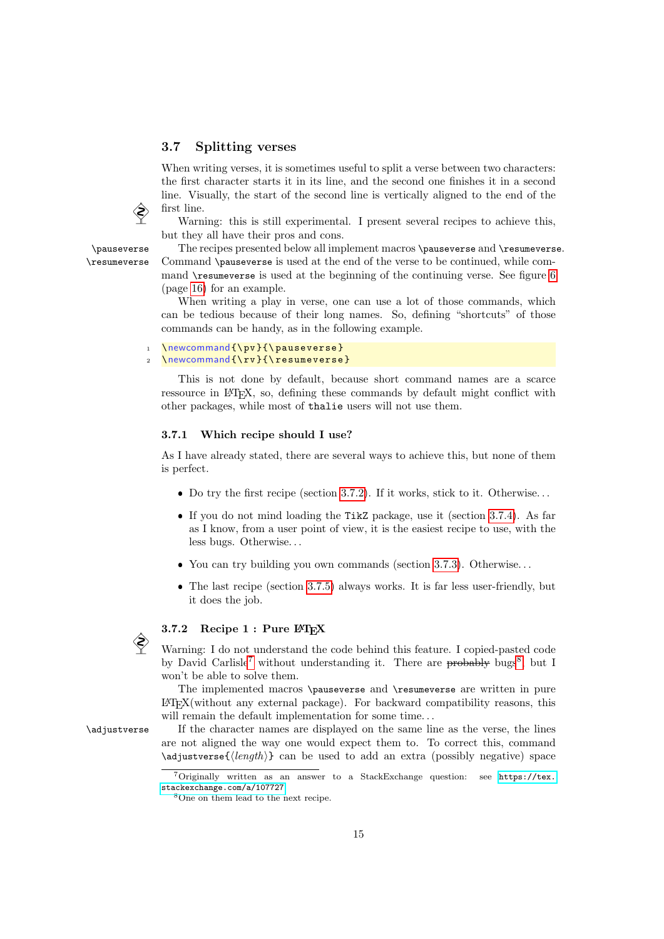#### <span id="page-14-0"></span>3.7 Splitting verses

When writing verses, it is sometimes useful to split a verse between two characters: the first character starts it in its line, and the second one finishes it in a second line. Visually, the start of the second line is vertically aligned to the end of the first line.

Warning: this is still experimental. I present several recipes to achieve this, but they all have their pros and cons.

\pauseverse The recipes presented below all implement macros \pauseverse and \resumeverse. \resumeverse Command \pauseverse is used at the end of the verse to be continued, while command \resumeverse is used at the beginning of the continuing verse. See figure [6](#page-15-0) (page [16\)](#page-15-0) for an example.

> When writing a play in verse, one can use a lot of those commands, which can be tedious because of their long names. So, defining "shortcuts" of those commands can be handy, as in the following example.

```
1 \newcommand {\pv} {\pauseverse}
```
#### \newcommand{\rv}{\resumeverse}

This is not done by default, because short command names are a scarce ressource in LAT<sub>EX</sub>, so, defining these commands by default might conflict with other packages, while most of thalie users will not use them.

#### 3.7.1 Which recipe should I use?

As I have already stated, there are several ways to achieve this, but none of them is perfect.

- $\bullet$  Do try the first recipe (section [3.7.2\)](#page-14-1). If it works, stick to it. Otherwise...
- If you do not mind loading the TikZ package, use it (section [3.7.4\)](#page-16-0). As far as I know, from a user point of view, it is the easiest recipe to use, with the less bugs. Otherwise. . .
- You can try building you own commands (section [3.7.3\)](#page-16-1). Otherwise. . .
- The last recipe (section [3.7.5\)](#page-17-3) always works. It is far less user-friendly, but it does the job.

#### <span id="page-14-1"></span>3.7.2 Recipe  $1:$  Pure  $\mathbb{P}\mathbb{T}_{F}X$

 Warning: I do not understand the code behind this feature. I copied-pasted code by David Carlisle<sup>[7](#page-14-2)</sup> without understanding it. There are probably bugs<sup>[8](#page-14-3)</sup>, but I won't be able to solve them.

The implemented macros \pauseverse and \resumeverse are written in pure  $\Delta E$ <sub>E</sub>X(without any external package). For backward compatibility reasons, this will remain the default implementation for some time...

\adjustverse If the character names are displayed on the same line as the verse, the lines are not aligned the way one would expect them to. To correct this, command \adjustverse{⟨length⟩} can be used to add an extra (possibly negative) space



<span id="page-14-2"></span><sup>7</sup>Originally written as an answer to a StackExchange question: see [https://tex.](https://tex.stackexchange.com/a/107727) [stackexchange.com/a/107727](https://tex.stackexchange.com/a/107727).

<span id="page-14-3"></span><sup>8</sup>One on them lead to the next recipe.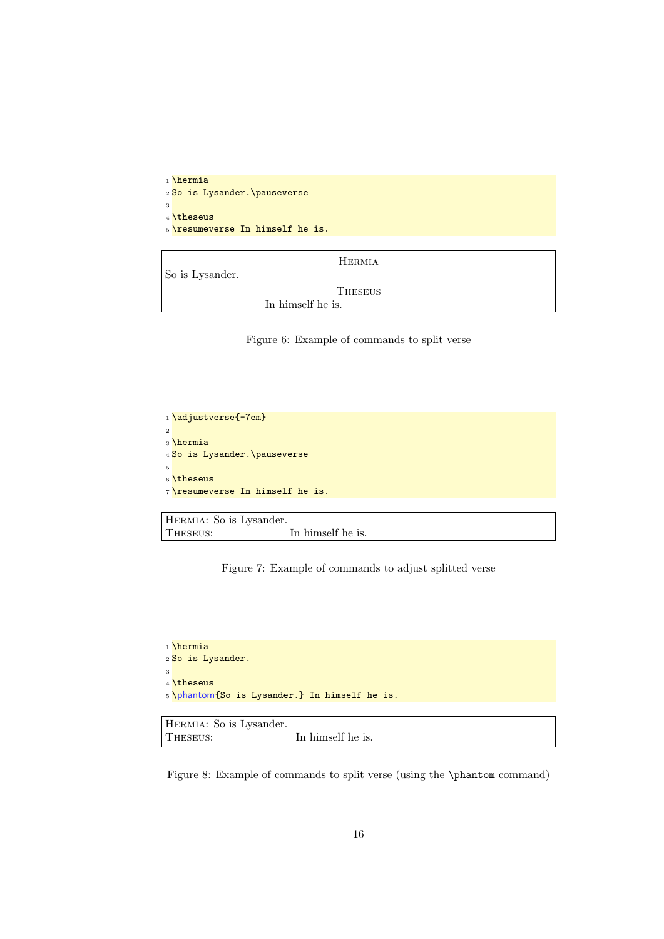```
1 \hermia
2 So is Lysander.\pauseverse
3
4 \theseus
5 \resumeverse In himself he is.
```
<span id="page-15-0"></span>

| So is Lysander. | HERMIA            |
|-----------------|-------------------|
|                 | <b>THESEUS</b>    |
|                 | In himself he is. |

Figure 6: Example of commands to split verse

```
1 \adjustverse{-7em}
2
3 \hermia
4 So is Lysander.\pauseverse
5
6 \theseus
7 \resumeverse In himself he is.
```

```
HERMIA: So is Lysander. THESEUS:
                              In himself he is.
```
Figure 7: Example of commands to adjust splitted verse

```
1 \hermia
2 So is Lysander.
3
4 \theseus
5 \phantom{So is Lysander.} In himself he is.
```

```
Hermia: So is Lysander.
THESEUS: In himself he is.
```
<span id="page-15-2"></span>Figure 8: Example of commands to split verse (using the \phantom command)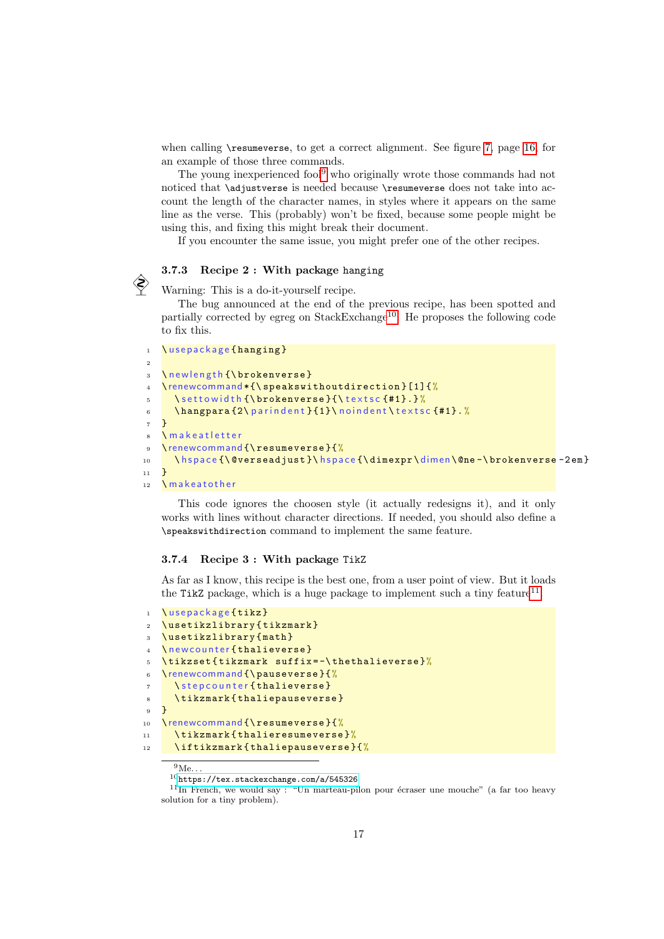when calling \resumeverse, to get a correct alignment. See figure [7,](#page-15-1) page [16,](#page-15-1) for an example of those three commands.

The young inexperienced fool<sup>[9](#page-16-2)</sup> who originally wrote those commands had not noticed that \adjustverse is needed because \resumeverse does not take into account the length of the character names, in styles where it appears on the same line as the verse. This (probably) won't be fixed, because some people might be using this, and fixing this might break their document.

If you encounter the same issue, you might prefer one of the other recipes.

# 3.7.3 Recipe 2 : With package hanging<br>
Warning: This is a do-it-yourself recipe.

<span id="page-16-1"></span>

The bug announced at the end of the previous recipe, has been spotted and partially corrected by egreg on StackExchange<sup>[10](#page-16-3)</sup>. He proposes the following code to fix this.

```
1 \ u s e p a c k a g e { h a n g i n g }
2
3 \newlength {\brokenverse}
4 \renewcommand *{\ speakswithoutdirection }[1]{ %
5 \settowidth {\brokenverse} {\textsc {#1}.}%
6 \ hangpara \{2\ parindent \{1\} noindent \ texts c \{ \#1\}. %
7}
8 \ m a k e a t l et t e r
9 \renewcommand {\resumeverse } {%
10 \ h s p a c e {\ @verseadjust } \ h s p a c e {\ dimexpr \ dimen \ @ne - \ brokenverse - 2 em }
11 \frac{1}{2}12 \makeatother
```
This code ignores the choosen style (it actually redesigns it), and it only works with lines without character directions. If needed, you should also define a \speakswithdirection command to implement the same feature.

#### <span id="page-16-0"></span>3.7.4 Recipe 3 : With package TikZ

As far as I know, this recipe is the best one, from a user point of view. But it loads the TikZ package, which is a huge package to implement such a tiny feature<sup>[11](#page-16-4)</sup>.

```
\ u s e p a c k a g e { tikz }
2 \ usetikzlibrary { tikzmark }
3 \ usetikzlibrary { math }
   \ n e w c o u n t er { thalieverse }
5 \ tikzset { tikzmark suffix = -\ thethalieverse }%
6 \renewcommand {\ pauseverse }{%
7 \ step counter { thalieverse }
8 \tikzmark{thaliepauseverse}
9 }
10 \renewcommand {\resumeverse } {%
11 \tikzmark {thalieresumeverse }%
12 \ iftikzmark { thaliepauseverse } {%
```
<span id="page-16-2"></span> $\overline{9}_{\mathrm{Me...}}$ 

<span id="page-16-4"></span><span id="page-16-3"></span> $^{10}\mathrm{https://tex.star.}x.$ rtackexchange.com/a/545326

 $11$ In French, we would say: "Un marteau-pilon pour écraser une mouche" (a far too heavy solution for a tiny problem).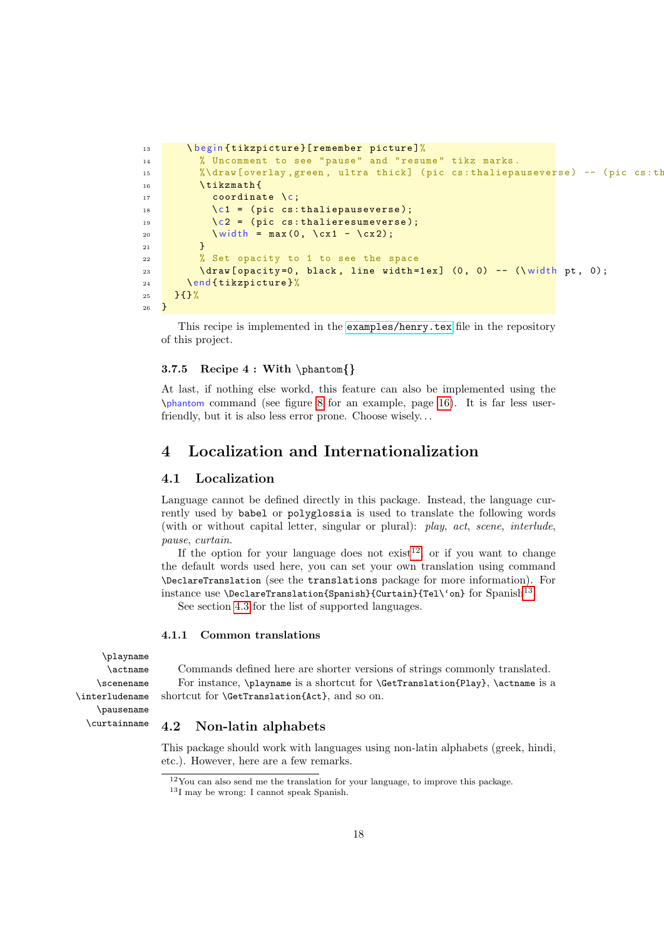```
13 \ begin{tikzpicture}[remember picture]%
14 \% Uncomment to see "pause" and "resume" tikz marks.
15 %\draw [ overlay, green, ultra thick] (pic cs: thaliepauseverse) -- (pic cs: th
16 \tikzmath{
17 coordinate \c;
18 \qquad \qquad \csc(1) = (\text{pic cs:thaliepauseverse)};19 \{ c2 = (pic cs:thalieresumeverse) \}20 \sqrt{\width} = max(0, \sqrt{cx1 - \sqrt{cx2}});21 }
22 % Set opacity to 1 to see the space
23 \sqrt{ \frac{1}{2} \sqrt{ \frac{1}{2} \sqrt{ \frac{1}{2} \frac{1}{2} \frac{1}{2} \frac{1}{2} \frac{1}{2} \frac{1}{2} \frac{1}{2} \frac{1}{2} \frac{1}{2} \frac{1}{2} \frac{1}{2} \frac{1}{2} \frac{1}{2} \frac{1}{2} \frac{1}{2} \frac{1}{2} \frac{1}{2} \frac{1}{2} 
24 \end { tikzpicture }%
25 } { } %
26 }
```
This recipe is implemented in the [examples/henry.tex](https://framagit.org/spalax/thalie/-/blob/main/examples/henry.tex) file in the repository of this project.

#### <span id="page-17-3"></span>3.7.5 Recipe 4 : With \phantom{}

At last, if nothing else workd, this feature can also be implemented using the \phantom command (see figure [8](#page-15-2) for an example, page [16\)](#page-15-2). It is far less userfriendly, but it is also less error prone. Choose wisely. . .

## <span id="page-17-0"></span>4 Localization and Internationalization

#### <span id="page-17-1"></span>4.1 Localization

Language cannot be defined directly in this package. Instead, the language currently used by babel or polyglossia is used to translate the following words (with or without capital letter, singular or plural): play, act, scene, interlude, pause, curtain.

If the option for your language does not  $exist^{12}$  $exist^{12}$  $exist^{12}$ , or if you want to change the default words used here, you can set your own translation using command \DeclareTranslation (see the translations package for more information). For instance use **\DeclareTranslation{Spanish}{Curtain}{Tel\'on}** for Spanish<sup>[13](#page-17-5)</sup>.

See section [4.3](#page-18-0) for the list of supported languages.

#### 4.1.1 Common translations

Commands defined here are shorter versions of strings commonly translated. For instance, \playname is a shortcut for \GetTranslation{Play}, \actname is a shortcut for \GetTranslation{Act}, and so on.

#### <span id="page-17-2"></span>4.2 Non-latin alphabets

This package should work with languages using non-latin alphabets (greek, hindi, etc.). However, here are a few remarks.

\playname \actname \scenename \interludename \pausename \curtainname

<span id="page-17-4"></span> $12$ You can also send me the translation for your language, to improve this package.

<span id="page-17-5"></span><sup>13</sup>I may be wrong: I cannot speak Spanish.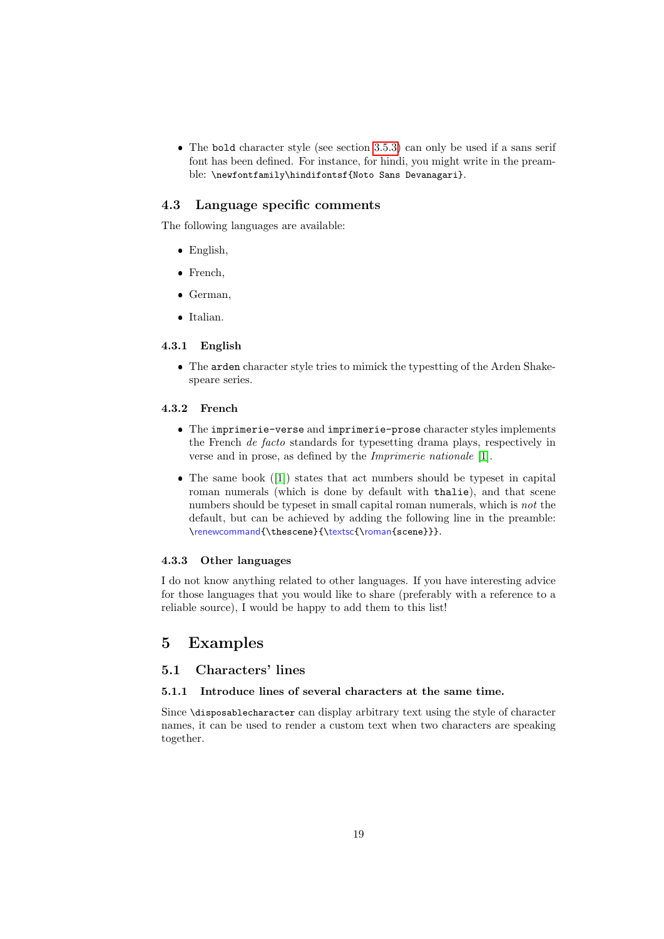The bold character style (see section [3.5.3\)](#page-13-1) can only be used if a sans serif font has been defined. For instance, for hindi, you might write in the preamble: \newfontfamily\hindifontsf{Noto Sans Devanagari}.

#### <span id="page-18-0"></span>4.3 Language specific comments

The following languages are available:

- English,
- French,
- German,
- Italian.

#### 4.3.1 English

 The arden character style tries to mimick the typestting of the Arden Shakespeare series.

#### 4.3.2 French

- The imprimerie-verse and imprimerie-prose character styles implements the French de facto standards for typesetting drama plays, respectively in verse and in prose, as defined by the Imprimerie nationale [\[1\]](#page-33-6).
- The same book ([\[1\]](#page-33-6)) states that act numbers should be typeset in capital roman numerals (which is done by default with thalie), and that scene numbers should be typeset in small capital roman numerals, which is not the default, but can be achieved by adding the following line in the preamble: \renewcommand{\thescene}{\textsc{\roman{scene}}}.

#### 4.3.3 Other languages

I do not know anything related to other languages. If you have interesting advice for those languages that you would like to share (preferably with a reference to a reliable source), I would be happy to add them to this list!

### <span id="page-18-1"></span>5 Examples

#### <span id="page-18-2"></span>5.1 Characters' lines

#### 5.1.1 Introduce lines of several characters at the same time.

Since \disposablecharacter can display arbitrary text using the style of character names, it can be used to render a custom text when two characters are speaking together.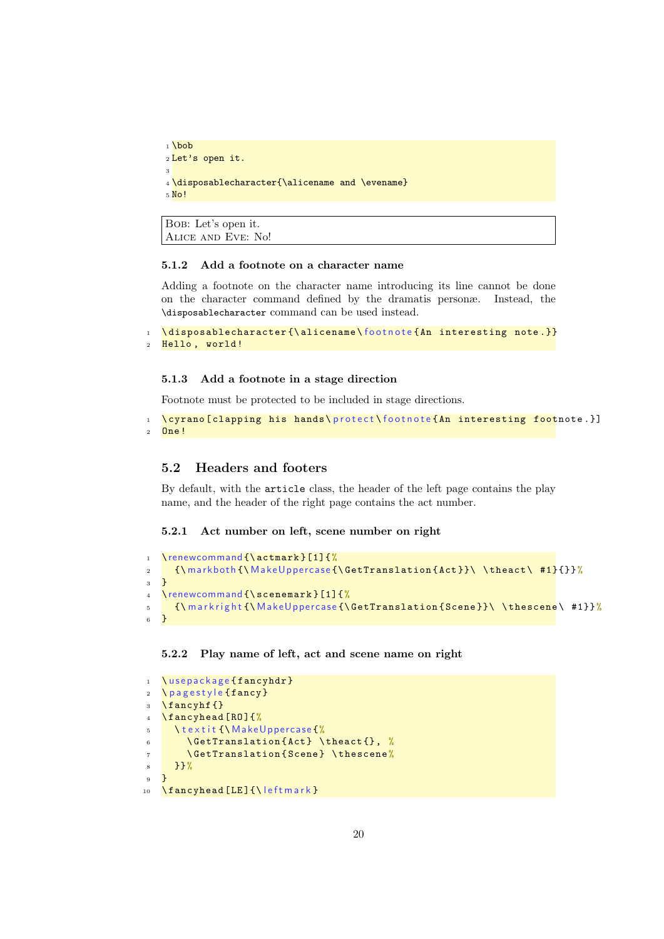```
1 \bob
2 Let's open it.
3
4 \disposablecharacter{\alicename and \evename}
5 No!
```

```
Bob: Let's open it.
Alice and Eve: No!
```
#### 5.1.2 Add a footnote on a character name

Adding a footnote on the character name introducing its line cannot be done on the character command defined by the dramatis personæ. Instead, the \disposablecharacter command can be used instead.

```
1 \disposablecharacter {\alicename\footnote {An interesting note.}}
2 Hello, world!
```
#### 5.1.3 Add a footnote in a stage direction

Footnote must be protected to be included in stage directions.

```
1 \cyrano [clapping his hands\protect\footnote{An interesting footnote.}]
2 One !
```
#### <span id="page-19-0"></span>5.2 Headers and footers

By default, with the article class, the header of the left page contains the play name, and the header of the right page contains the act number.

#### 5.2.1 Act number on left, scene number on right

```
1 \renewcommand {\actmark } [1] {%
2 {\ {\rm Mark both}\ {\rm (MakeUopercase\ {\rm (detTranslation\ }Act\ {\rm )}\ \ {\rm theact}\ \ {\rm \#1}\ {\rm \}} }\overline{3} }
4 \renewcommand {\ scenemark }[1]{ %
5 {\markright{\MakeUppercase{\GetTranslation{Scene}}\\thescene\#1}}%
6 }
```
#### 5.2.2 Play name of left, act and scene name on right

```
1 \ u s e p a c k a g e { f a n c y h d r }
2 \pagestyle {fancy}
3 \ \text{S}4 \ fancyhead [ RO ]{%
5 \textit {\MakeUppercase {%
6 \ GetTranslation {Act} \theact {}, %
       \Set{+ \Set{8 }}%
9 }
10 \fancyhead [LE] {\leftmark }
```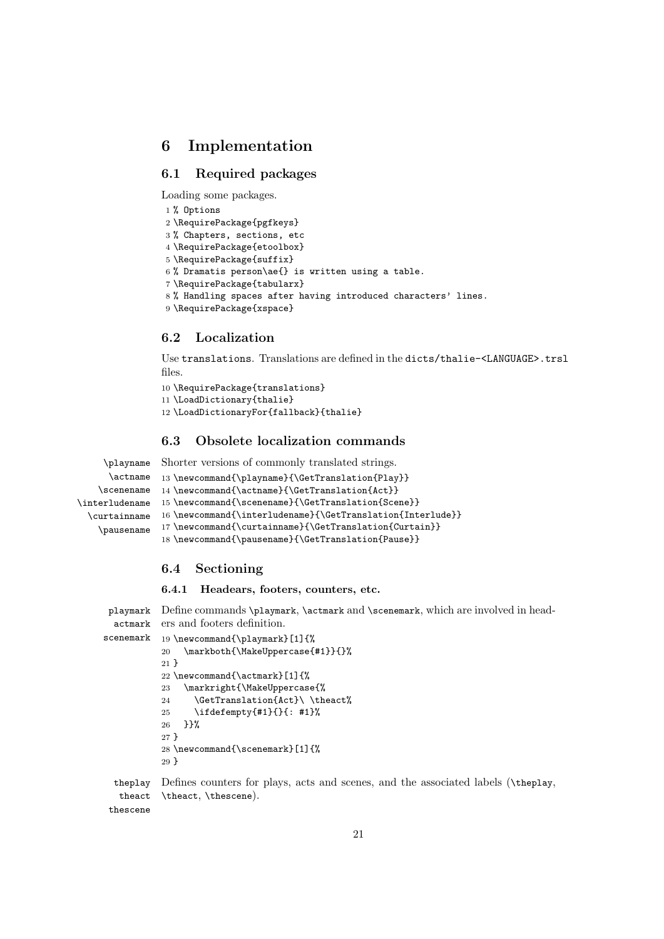## <span id="page-20-0"></span>6 Implementation

#### <span id="page-20-1"></span>6.1 Required packages

Loading some packages.

```
1 % Options
2 \RequirePackage{pgfkeys}
3 % Chapters, sections, etc
4 \RequirePackage{etoolbox}
5 \RequirePackage{suffix}
6 % Dramatis person\ae{} is written using a table.
7 \RequirePackage{tabularx}
8 % Handling spaces after having introduced characters' lines.
9 \RequirePackage{xspace}
```
## <span id="page-20-2"></span>6.2 Localization

Use translations. Translations are defined in the dicts/thalie-<LANGUAGE>.trsl files.

```
10 \RequirePackage{translations}
11 \LoadDictionary{thalie}
12 \LoadDictionaryFor{fallback}{thalie}
```
#### <span id="page-20-3"></span>6.3 Obsolete localization commands

```
\playname
     \actname
    \scenename
14 \newcommand{\actname}{\GetTranslation{Act}}
\interludename
15 \newcommand{\scenename}{\GetTranslation{Scene}}
  \curtainname 16 \newcommand{\interludename}{\GetTranslation{Interlude}}
    \pausename 17\newcommand{\curtainname}{\GetTranslation{Curtain}}
               Shorter versions of commonly translated strings.
               13 \newcommand{\playname}{\GetTranslation{Play}}
                18 \newcommand{\pausename}{\GetTranslation{Pause}}
```
#### <span id="page-20-4"></span>6.4 Sectioning

6.4.1 Headears, footers, counters, etc.

```
playmark
Define commands \playmark, \actmark and \scenemark, which are involved in head-
  actmark
ers and footers definition.
scenemark
          19 \newcommand{\playmark}[1]{%
           20 \markboth{\MakeUppercase{#1}}{}%
           21 }
           22 \newcommand{\actmark}[1]{%
           23 \markright{\MakeUppercase{%
           24 \GetTranslation{Act}\ \theact%
           25 \ifdefempty{#1}{}{: #1}%
           26 }}%
           27 }
           28 \newcommand{\scenemark}[1]{%
           29 }
  theplay
Defines counters for plays, acts and scenes, and the associated labels (\theplay,
   theact
 thescene
           \theact, \thescene).
```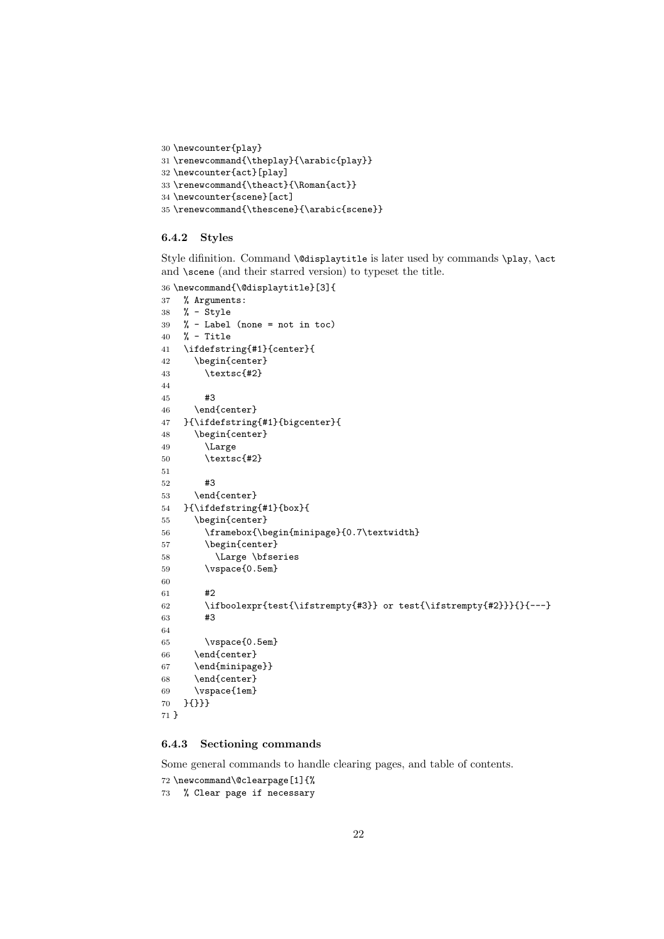```
30 \newcounter{play}
31 \verb|\renewcommand{{\theplay}}{{\arabic{play}}32 \newcounter{act}[play]
33 \renewcommand{\theact}{\Roman{act}}
34 \newcounter{scene}[act]
35 \renewcommand{\thescene}{\arabic{scene}}
```
#### 6.4.2 Styles

Style difinition. Command \@displaytitle is later used by commands \play, \act and **\scene** (and their starred version) to typeset the title.

```
36 \newcommand{\@displaytitle}[3]{
37 % Arguments:
38 % - Style
39 \frac{\gamma}{4} - Label (none = not in toc)
40 % - Title
41 \ifdefstring{#1}{center}{
42 \begin{center}
43 \textsc{#2}
44
45 #3
46 \end{center}
47 }{\ifdefstring{#1}{bigcenter}{
48 \begin{center}
49 \Large
50 \textsc{#2}
51
52 #3
53 \end{center}
54 }{\ifdefstring{#1}{box}{
55 \begin{center}
56 \framebox{\begin{minipage}{0.7\textwidth}
57 \begin{center}
58 \Large \bfseries
59 \vspace{0.5em}
60
61 #2
62 \ifboolexpr{test{\ifstrempty{#3}} or test{\ifstrempty{#2}}}{}{---}
63 #3
64
65 \vspace{0.5em}
66 \end{center}
67 \end{minipage}}
68 \end{center}
69 \vspace{1em}
70 }{}}}
71 }
```
#### 6.4.3 Sectioning commands

Some general commands to handle clearing pages, and table of contents.

```
72 \newcommand\@clearpage[1]{%
```

```
73 % Clear page if necessary
```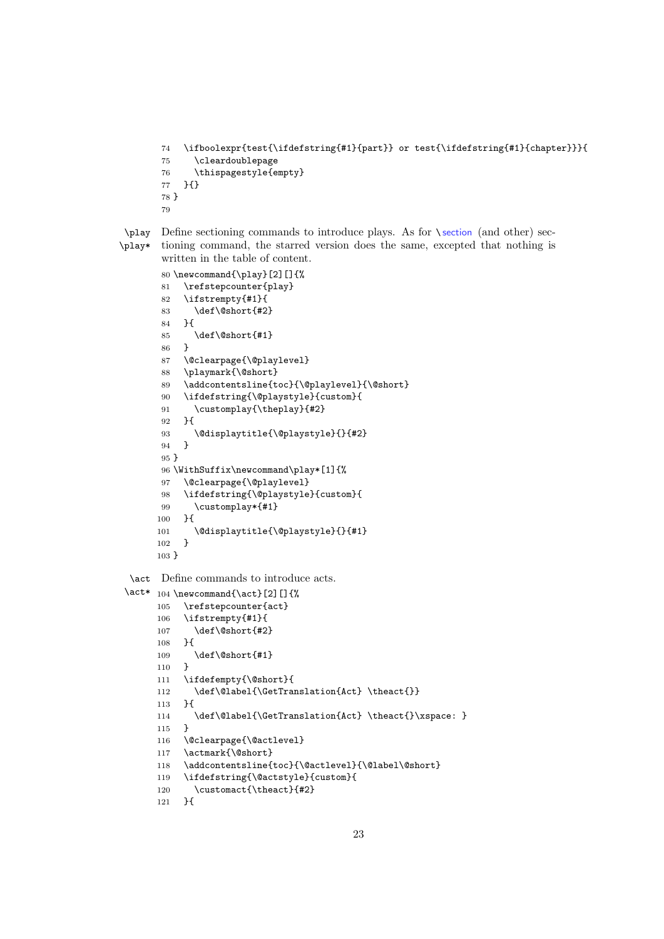```
74 \ifboolexpr{test{\ifdefstring{#1}{part}} or test{\ifdefstring{#1}{chapter}}}{
75 \cleardoublepage
76 \thispagestyle{empty}
77 }{}
78 }
79
```
\play Define sectioning commands to introduce plays. As for \ section (and other) sec-\play\* tioning command, the starred version does the same, excepted that nothing is written in the table of content.

```
80 \newcommand{\play}[2][]{%
81 \refstepcounter{play}
82 \ifstrempty{#1}{
83 \def\@short{#2}
84 }{
85 \def\@short{#1}
86 }
87 \@clearpage{\@playlevel}
88 \playmark{\@short}
89 \addcontentsline{toc}{\@playlevel}{\@short}
90 \ifdefstring{\@playstyle}{custom}{
91 \customplay{\theplay}{#2}
92 }{
93 \@displaytitle{\@playstyle}{}{#2}
94 }
95 }
96 \WithSuffix\newcommand\play*[1]{%
97 \@clearpage{\@playlevel}
98 \ifdefstring{\@playstyle}{custom}{
99 \customplay*{#1}
100 }{
101 \@displaytitle{\@playstyle}{}{#1}
102 }
103 }
```
\act Define commands to introduce acts.

```
\act* 104 \newcommand{\act}[2][]{%
        105 \refstepcounter{act}
        106 \ifstrempty{#1}{
        107 \def\@short{#2}<br>108 \espaysed to 108 \eft\$ \eft\$ \eft\$ \eft\$ \eft\$ \eft\$ \eft\$ \eft\$ \eft\$ \eft\$ \eft\$ \eft\$ \eft\$ \eft\$ \eft\$ \eft\$ \eft\$ \eft\$ \eft\$ \eft\$ \eft\$ \eft\$ \eft\$ \eft\$ \eft\$ \eft\
        108 }{
        109 \def\@short{#1}
        110 }
        111 \ifdefempty{\@short}{
        112 \def\@label{\GetTranslation{Act} \theact{}}
        113 }{
        114 \def\@label{\GetTranslation{Act} \theact{}\xspace: }
        115 }
        116 \@clearpage{\@actlevel}
        117 \actmark{\@short}
        118 \addcontentsline{toc}{\@actlevel}{\@label\@short}
        119 \ifdefstring{\@actstyle}{custom}{
        120 \customact{\theact}{#2}
        121 }{
```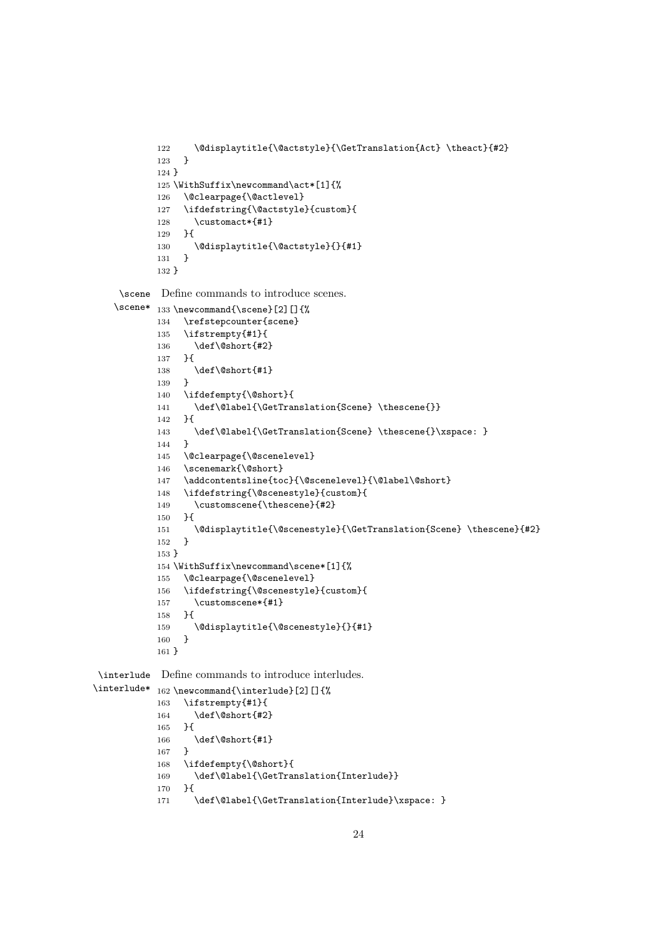```
122 \@displaytitle{\@actstyle}{\GetTranslation{Act} \theact}{#2}
123 }
124 }
125 \WithSuffix\newcommand\act*[1]{%
126 \@clearpage{\@actlevel}
127 \ifdefstring{\@actstyle}{custom}{
128 \customact*{#1}
129 }{
130 \@displaytitle{\@actstyle}{}{#1}
131 }
132 }
```
\scene Define commands to introduce scenes.

```
\scene*
133 \newcommand{\scene}[2][]{%
       134 \refstepcounter{scene}
       135 \ifstrempty{#1}{
       136 \def\@short{#2}
       137 }{
       138 \def\@short{#1}
       139 }
       140 \ifdefempty{\@short}{
       141 \def\@label{\GetTranslation{Scene} \thescene{}}<br>142 \f
       142 }{
       143 \def\@label{\GetTranslation{Scene} \thescene{}\xspace: }
       144 }
       145 \@clearpage{\@scenelevel}
       146 \scenemark{\@short}
       147 \addcontentsline{toc}{\@scenelevel}{\@label\@short}
       148 \ifdefstring{\@scenestyle}{custom}{
       149 \customscene{\thescene}{#2}
       150 }{
       151 \@displaytitle{\@scenestyle}{\GetTranslation{Scene} \thescene}{#2}
       152 }
       153 }
       154 \WithSuffix\newcommand\scene*[1]{%
       155 \@clearpage{\@scenelevel}
       156 \ifdefstring{\@scenestyle}{custom}{
       157 \customscene*{#1}
       158 }{
       159 \@displaytitle{\@scenestyle}{}{#1}<br>160 }
       160 }
       161 }
```
\interlude Define commands to introduce interludes.

```
\interlude* 162 \newcommand{\interlude}[2][]{%
           163 \ifstrempty{#1}{
           164 \def\@short{#2}<br>165 \}
           165 }{
           166 \def\@short{#1}
           167 }
           168 \ifdefempty{\@short}{
           169 \def\@label{\GetTranslation{Interlude}}
            170 }{
            171 \def\@label{\GetTranslation{Interlude}\xspace: }
```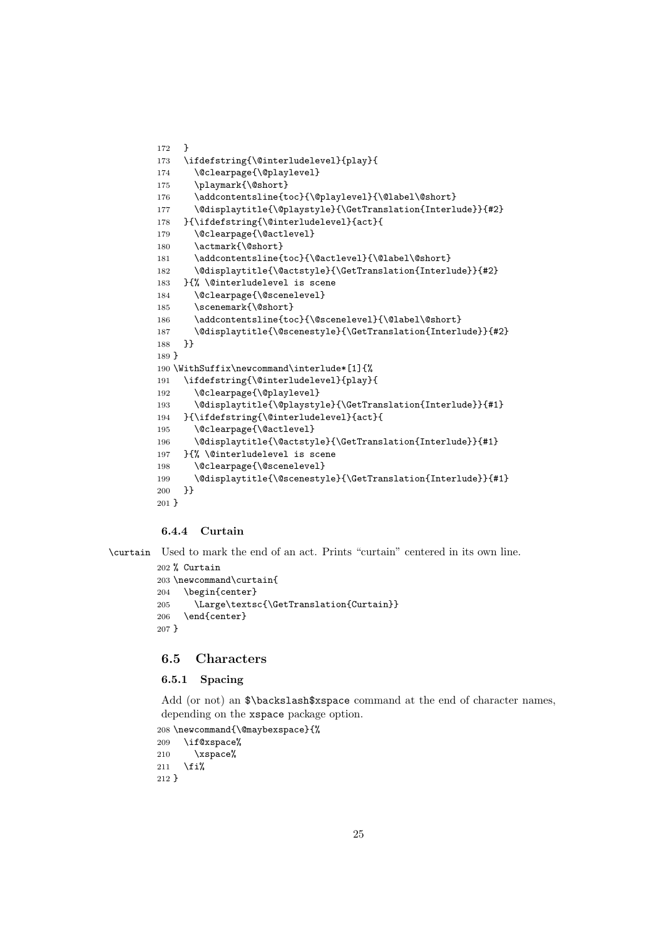```
172 }
173 \ifdefstring{\@interludelevel}{play}{
174 \@clearpage{\@playlevel}
175 \playmark{\@short}
176 \addcontentsline{toc}{\@playlevel}{\@label\@short}
177 \@displaytitle{\@playstyle}{\GetTranslation{Interlude}}{#2}
178 }{\ifdefstring{\@interludelevel}{act}{
179 \@clearpage{\@actlevel}
180 \actmark{\@short}
181 \addcontentsline{toc}{\@actlevel}{\@label\@short}
182 \@displaytitle{\@actstyle}{\GetTranslation{Interlude}}{#2}
183 }{% \@interludelevel is scene
184 \@clearpage{\@scenelevel}
185 \scenemark{\@short}
186 \addcontentsline{toc}{\@scenelevel}{\@label\@short}
187 \@displaytitle{\@scenestyle}{\GetTranslation{Interlude}}{#2}
188 }}
189 }
190 \WithSuffix\newcommand\interlude*[1]{%
191 \ifdefstring{\@interludelevel}{play}{
192 \@clearpage{\@playlevel}
193 \@displaytitle{\@playstyle}{\GetTranslation{Interlude}}{#1}
194 }{\ifdefstring{\@interludelevel}{act}{
195 \@clearpage{\@actlevel}
196 \@displaytitle{\@actstyle}{\GetTranslation{Interlude}}{#1}
197 }{% \@interludelevel is scene
198 \@clearpage{\@scenelevel}
199 \@displaytitle{\@scenestyle}{\GetTranslation{Interlude}}{#1}
200 }}
201 }
```
#### 6.4.4 Curtain

\curtain Used to mark the end of an act. Prints "curtain" centered in its own line.

```
202 % Curtain
203 \newcommand\curtain{
204 \begin{center}
205 \Large\textsc{\GetTranslation{Curtain}}
206 \end{center}
207 }
```
#### <span id="page-24-0"></span>6.5 Characters

#### 6.5.1 Spacing

Add (or not) an  $\backslash$ backslash\$xspace command at the end of character names, depending on the xspace package option.

```
208 \newcommand{\@maybexspace}{%
209 \if@xspace%
210 \quad \{xspace\}211 \foralli%
212 }
```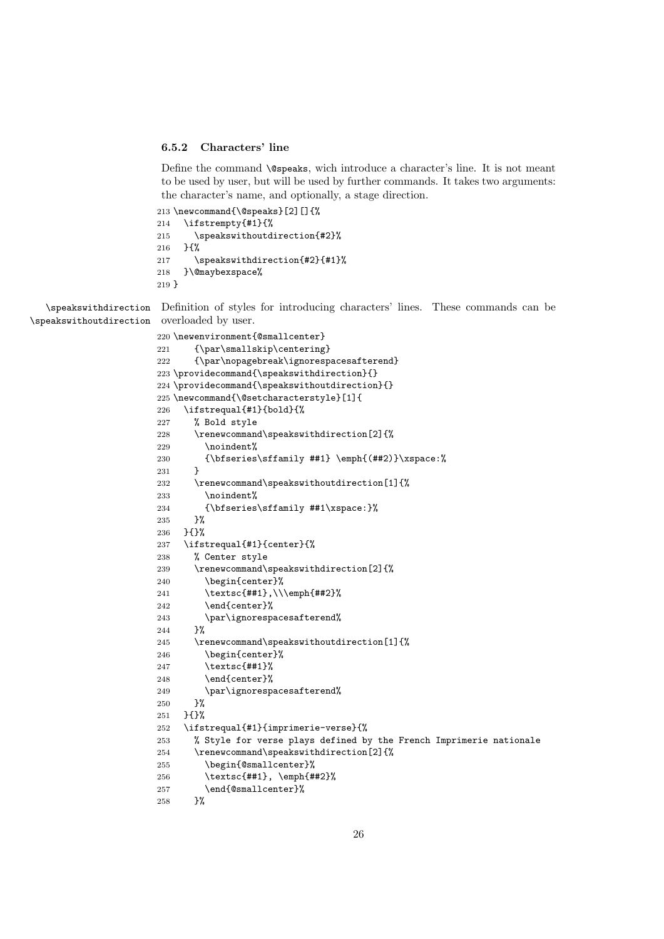#### 6.5.2 Characters' line

Define the command **\@speaks**, wich introduce a character's line. It is not meant to be used by user, but will be used by further commands. It takes two arguments: the character's name, and optionally, a stage direction.

```
213 \newcommand{\@speaks}[2][]{%
214 \ifstrempty{#1}{%
215 \speakswithoutdirection{#2}%
216 }{%
217 \speakswithdirection{#2}{#1}%
218 }\@maybexspace%
219 }
```
\speakswithdirection Definition of styles for introducing characters' lines. These commands can be \speakswithoutdirection overloaded by user.

```
220 \newenvironment{@smallcenter}
221 {\par\smallskip\centering}
222 {\par\nopagebreak\ignorespacesafterend}
223 \providecommand{\speakswithdirection}{}
224 \providecommand{\speakswithoutdirection}{}
225 \newcommand{\@setcharacterstyle}[1]{
226 \ifstrequal{#1}{bold}{%
227 % Bold style
228 \renewcommand\speakswithdirection[2]{%
229 \noindent%
230 {\bfseries\sffamily ##1} \emph{(##2)}\xspace:%
231 }
232 \renewcommand\speakswithoutdirection[1]{%
233 \noindent%
234 {\bfseries\sffamily ##1\xspace:}%
235 }%
236 }{}%
237 \ifstrequal{#1}{center}{%
238 % Center style
239 \renewcommand\speakswithdirection[2]{%
240 \begin{center}%
241 \textsc{##1},\\\emph{##2}%
242 \end{center}%
243 \parfrac{\text{per}}{\text{per}}{\text{per}}<br>244 }%
244245 \renewcommand\speakswithoutdirection[1]{%
246 \begin{center}%
247 \textsc{##1}%
248 \end{center}%
249 \par\ignorespacesafterend%
250 }%
251 }{}%
252 \ifstrequal{#1}{imprimerie-verse}{%
253 % Style for verse plays defined by the French Imprimerie nationale
254 \renewcommand\speakswithdirection[2]{%
255 \begin{@smallcenter}%
256 \textsc{##1}, \emph{##2}%
257 \end{@smallcenter}%
258 }%
```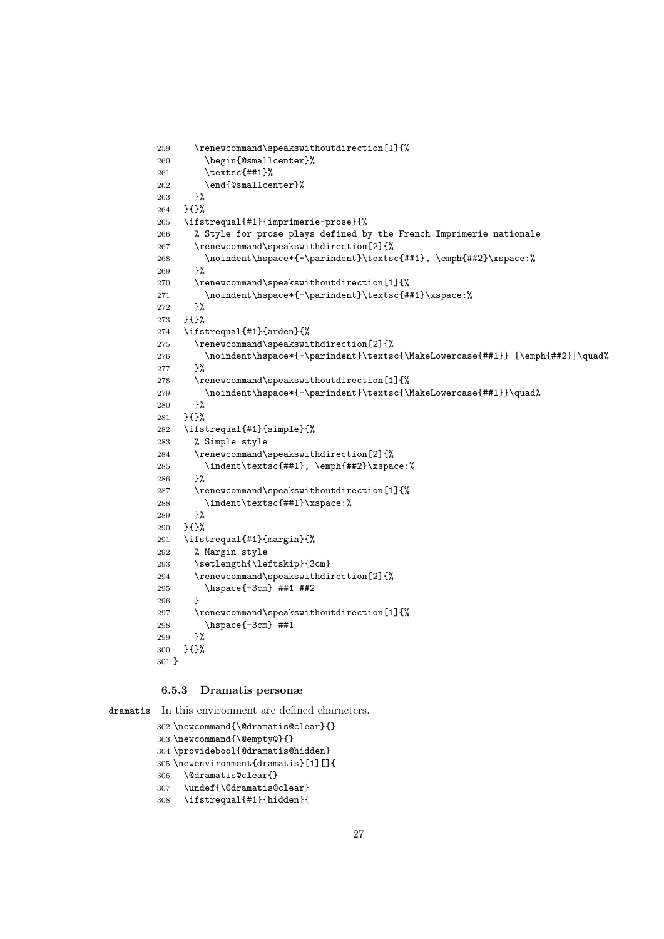```
259 \renewcommand\speakswithoutdirection[1]{%
260 \begin{@smallcenter}%
261 \textsc{##1}%
262 \end{@smallcenter}%
263 }%
264 }{}%
265 \ifstrequal{#1}{imprimerie-prose}{%
266 % Style for prose plays defined by the French Imprimerie nationale
267 \renewcommand\speakswithdirection[2]{%
268 \noindent\hspace*{-\parindent}\textsc{##1}, \emph{##2}\xspace:%
269 }%
270 \renewcommand\speakswithoutdirection[1]{%
271 \noindent\hspace*{-\parindent}\textsc{##1}\xspace:%
272 }%
273 }{}%
274 \ifstrequal{#1}{arden}{%
275 \renewcommand\speakswithdirection[2]{%
276 \noindent\hspace*{-\parindent}\textsc{\MakeLowercase{##1}} [\emph{##2}]\quad%
277 }%
278 \renewcommand\speakswithoutdirection[1]{%
279 \noindent\hspace*{-\parindent}\textsc{\MakeLowercase{##1}}\quad%
280 }%
281 }{}%
282 \ifstrequal{#1}{simple}{%
283 % Simple style
284 \renewcommand\speakswithdirection[2]{%
285 \indent\textsc{##1}, \emph{##2}\xspace:%
286 }%
287 \renewcommand\speakswithoutdirection[1]{%
288 \indent\textsc{##1}\xspace:%
289 }%
290 }{}%
291 \ifstrequal{#1}{margin}{%
292 % Margin style
293 \setlength{\leftskip}{3cm}
294 \renewcommand\speakswithdirection[2]{%
295 \hspace{-3cm} ##1 ##2
296 }
297 \renewcommand\speakswithoutdirection[1]{%
298 \hspace{-3cm} ##1
299 }%
300 }{}%
301 }
```
#### 6.5.3 Dramatis personæ

dramatis In this environment are defined characters.

```
302 \newcommand{\@dramatis@clear}{}
303 \newcommand{\@empty@}{}
304 \providebool{@dramatis@hidden}
305 \newenvironment{dramatis}[1][]{
306 \@dramatis@clear{}
307 \undef{\@dramatis@clear}
308 \ifstrequal{#1}{hidden}{
```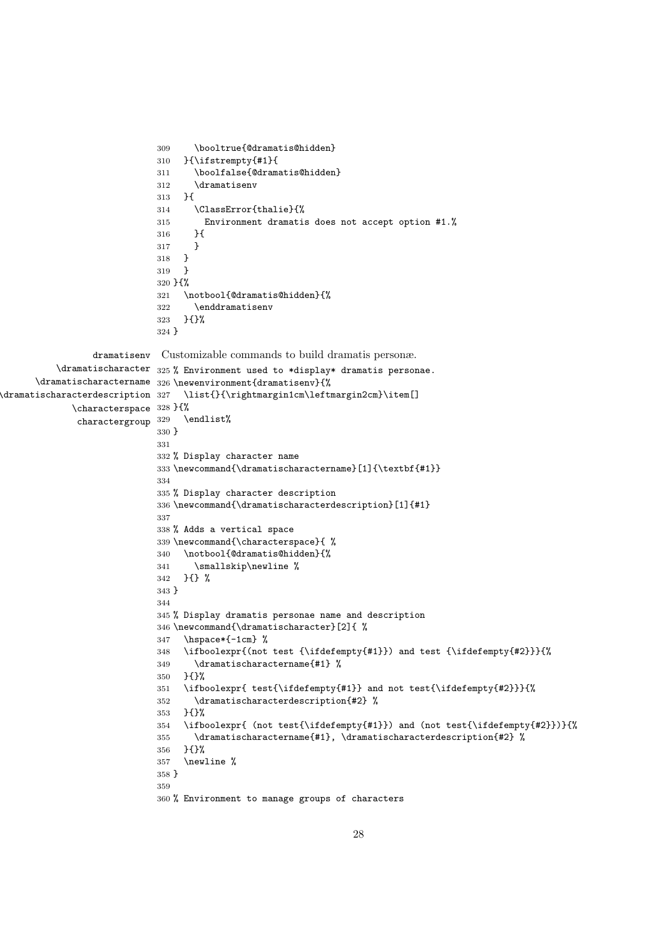```
309 \booltrue{@dramatis@hidden}
                             310 }{\ifstrempty{#1}{
                             311 \boolfalse{@dramatis@hidden}
                             312 \dramatisenv
                             313 }{
                             314 \ClassError{thalie}{%
                             315 Environment dramatis does not accept option #1.%
                             316 }{
                             317 }
                             318 }
                            319 }
                            320 }{%
                             321 \notbool{@dramatis@hidden}{%
                             322 \enddramatisenv
                             323 }{}%
                             324 }
                 dramatisenv
Customizable commands to build dramatis personæ.
          \lambdadramatischaracter _{325}% Environment used to *display* dramatis personae.
      \dramatischaractername
326 \newenvironment{dramatisenv}{%
\frac{4}{27}\characterspace
328 }{%
              \mbox{charactergroup} \ \ ^{329}\list{}{\rightmargin1cm\leftmargin2cm}\item[]
                                 \endlist%
                             330 }
                             331
                             332 % Display character name
                             333 \newcommand{\dramatischaractername}[1]{\textbf{#1}}
                             334
                             335 % Display character description
                             336 \newcommand{\dramatischaracterdescription}[1]{#1}
                             337
                             338 % Adds a vertical space
                             339 \newcommand{\characterspace}{ %
                             340 \notbool{@dramatis@hidden}{%
                             341 \smallskip\newline %
                             342 }{} %
                             343 }
                             344
                             345 % Display dramatis personae name and description
                             346 \newcommand{\dramatischaracter}[2]{ %
                             347 \hspace*{-1cm} %348 \ifboolexpr{(not test {\ifdefempty{#1}}) and test {\ifdefempty{#2}}}{%
                             349 \dramatischaractername{#1} %
                             350 }{}%
                             351 \ifboolexpr{ test{\ifdefempty{#1}} and not test{\ifdefempty{#2}}}{%
                             352 \dramatischaracterdescription{#2} %
                             353 }{}%
                             354 \ifboolexpr{ (not test{\ifdefempty{#1}}) and (not test{\ifdefempty{#2}})}{%
                             355 \dramatischaractername{#1}, \dramatischaracterdescription{#2} %
                             356 }{}%
                             357 \newline %
                             358 }
                             359
                             360 % Environment to manage groups of characters
```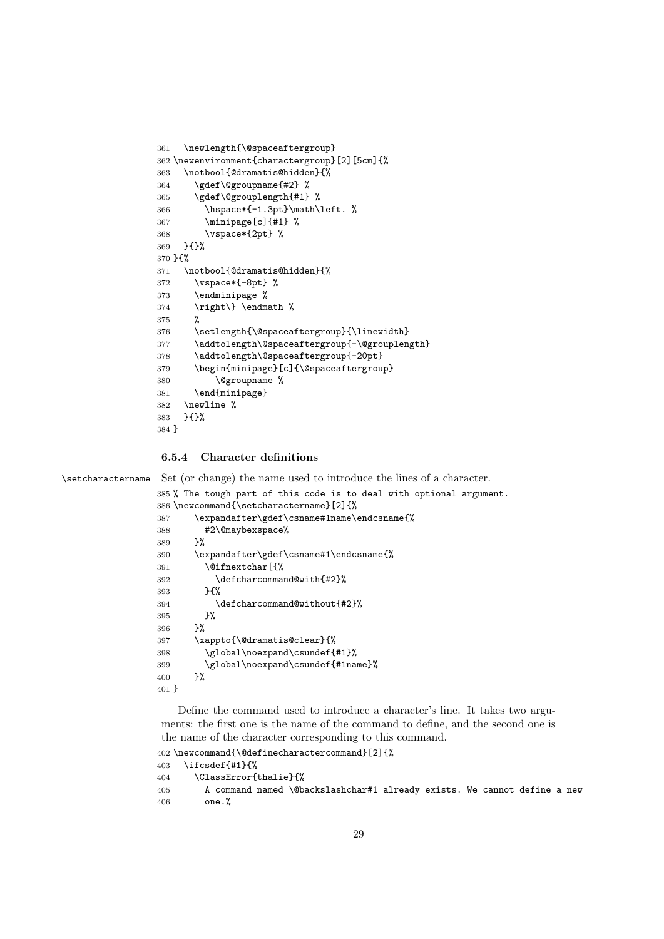```
361 \newlength{\@spaceaftergroup}
362 \newenvironment{charactergroup}[2][5cm]{%
363 \notbool{@dramatis@hidden}{%
364 \gdef\@groupname{#2} %
365 \gdef\@grouplength{#1} %
366 \hspace*{-1.3pt}\math\left. %
367 \minipage[c]{#1} %
368 \vspace*{2pt} %
369 }{}%
370 }{%
371 \notbool{@dramatis@hidden}{%
372 \vspace*{-8pt} %
373 \endminipage %
374 \right\} \endmath %
375 %
376 \setlength{\@spaceaftergroup}{\linewidth}
377 \addtolength\@spaceaftergroup{-\@grouplength}
378 \addtolength\@spaceaftergroup{-20pt}
379 \begin{minipage}[c]{\@spaceaftergroup}
380 \@groupname %
381 \end{minipage}
382 \newline %
383 }{}%
384 }
```
#### 6.5.4 Character definitions

\setcharactername Set (or change) the name used to introduce the lines of a character.

```
385 % The tough part of this code is to deal with optional argument.
386 \newcommand{\setcharactername}[2]{%
387 \expandafter\gdef\csname#1name\endcsname{%
388 #2\@maybexspace%<br>389 }%
389
390 \expandafter\gdef\csname#1\endcsname{%
391 \@ifnextchar[{%
392 \defcharcommand@with{#2}%
393 }{%
394 \defcharcommand@without{#2}%
395 }%
396 }%
397 \xappto{\@dramatis@clear}{%
398 \global\noexpand\csundef{#1}%
399 \global\noexpand\csundef{#1name}%
400 }%
401 }
```
Define the command used to introduce a character's line. It takes two arguments: the first one is the name of the command to define, and the second one is the name of the character corresponding to this command.

```
402 \newcommand{\@definecharactercommand}[2]{%
```

```
403 \ifcsdef{#1}{%
404 \ClassError{thalie}{%
405 A command named \@backslashchar#1 already exists. We cannot define a new
406 one.%
```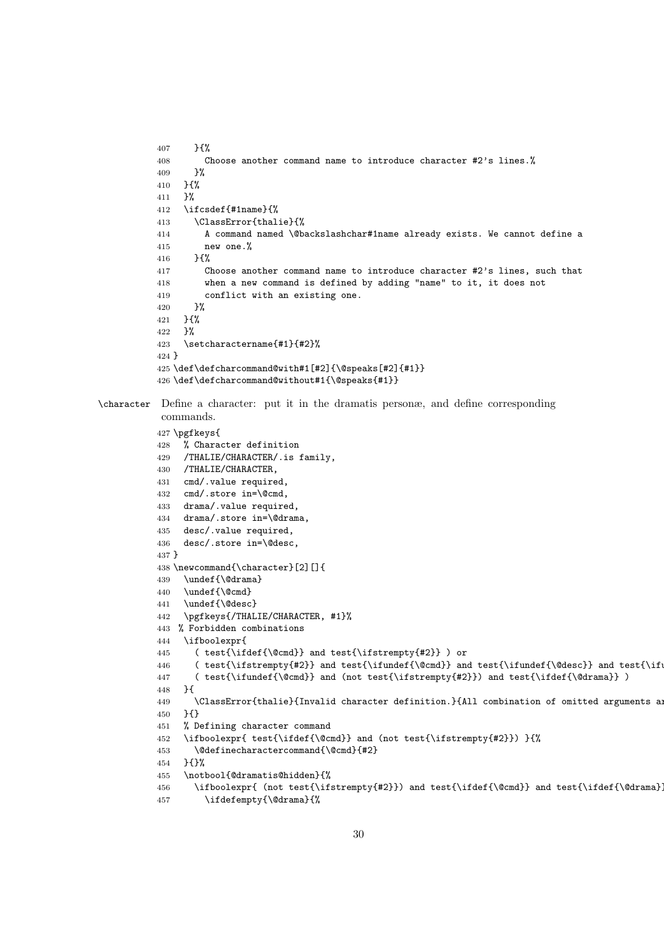```
407 }{%
          408 Choose another command name to introduce character #2's lines.%
          409 }%
          410 }{%
          411 }%
          412 \ifcsdef{#1name}{%
          413 \ClassError{thalie}{%
          414 A command named \@backslashchar#1name already exists. We cannot define a
          415 new one.%
          416 }{%
          417 Choose another command name to introduce character #2's lines, such that
          418 when a new command is defined by adding "name" to it, it does not
          419 conflict with an existing one.
          420 \frac{1}{6}421 }{%
          422 }%
          423 \setcharactername{#1}{#2}%
          424 }
          425 \def\defcharcommand@with#1[#2]{\@speaks[#2]{#1}}
          426 \def\defcharcommand@without#1{\@speaks{#1}}
\character Define a character: put it in the dramatis personæ, and define corresponding
           commands.
          427 \pgfkeys{
          428 % Character definition
          429 /THALIE/CHARACTER/.is family,
          430 /THALIE/CHARACTER,
          431 cmd/.value required,
          432 cmd/.store in=\@cmd,
          433 drama/.value required,
          434 drama/.store in=\@drama,
          435 desc/.value required,
          436 desc/.store in=\@desc,
          437 }
          438 \newcommand{\character}[2][]{
          439 \undef{\@drama}
          440 \undef{\@cmd}
          441 \undef{\@desc}
          442 \pgfkeys{/THALIE/CHARACTER, #1}%
          443 % Forbidden combinations
          444 \ifboolexpr{
          445 ( test{\ifdef{\@cmd}} and test{\ifstrempty{#2}} ) or
          446 ( test{\ifstrempty{#2}} and test{\ifundef{\@cmd}} and test{\ifundef{\@desc}} and test{\if
          447 ( test{\ifundef{\@cmd}} and (not test{\ifstrempty{#2}}) and test{\ifdef{\@drama}} )
          448 }{
          449 \ClassError{thalie}{Invalid character definition.}{All combination of omitted arguments are
          450 }{}
          451 % Defining character command
          452 \ifboolexpr{ test{\ifdef{\@cmd}} and (not test{\ifstrempty{#2}}) }{%
          453 \@definecharactercommand{\@cmd}{#2}
          454 }{}%
          455 \notbool{@dramatis@hidden}{%
          456 \ifboolexpr{ (not test{\ifstrempty{#2}}) and test{\ifdef{\@cmd}} and test{\ifdef{\@drama}
          457 \ifdefempty{\@drama}{%
```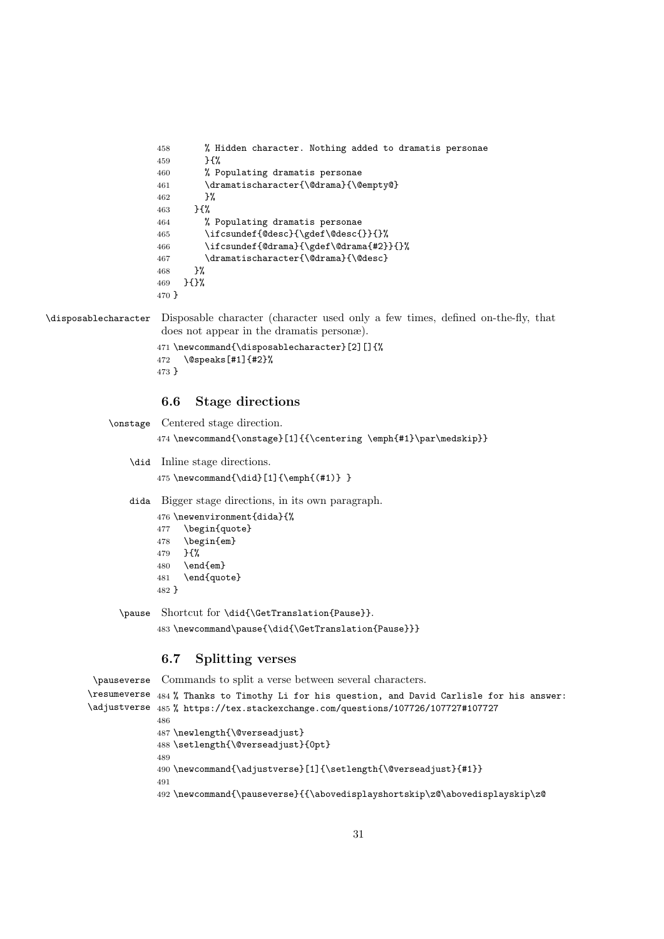```
458 % Hidden character. Nothing added to dramatis personae
459 }{%
460 % Populating dramatis personae
461 \dramatischaracter{\@drama}{\@empty@}
462 }%
463 }{%
464 % Populating dramatis personae
465 \ifcsundef{@desc}{\gdef\@desc{}}{}%
466 \ifcsundef{@drama}{\gdef\@drama{#2}}{}%
467 \dramatischaracter{\@drama}{\@desc}
468 \frac{19}{2}469 }{}%
470 }
```
\disposablecharacter Disposable character (character used only a few times, defined on-the-fly, that does not appear in the dramatis personæ).

```
471 \newcommand{\disposablecharacter}[2][]{%
472 \@speaks[#1]{#2}%
473 }
```
#### <span id="page-30-0"></span>6.6 Stage directions

```
\onstage Centered stage direction.
         474 \newcommand{\onstage}[1]{{\centering \emph{#1}\par\medskip}}
   \did Inline stage directions.
         475 \newcommand{\did}[1]{\emph{(#1)} }
   dida Bigger stage directions, in its own paragraph.
         476 \newenvironment{dida}{%
         477 \begin{quote}
         478 \begin{em}
         479 }{%
         480 \end{em}
         481 \end{quote}
         482 }
```
\pause Shortcut for \did{\GetTranslation{Pause}}.

\newcommand\pause{\did{\GetTranslation{Pause}}}

#### <span id="page-30-1"></span>6.7 Splitting verses

```
\pauseverse
\resumeverse
484 % Thanks to Timothy Li for his question, and David Carlisle for his answer:
\adjustverse
485 % https://tex.stackexchange.com/questions/107726/107727#107727
             Commands to split a verse between several characters.
             486
             487 \newlength{\@verseadjust}
             488 \setlength{\@verseadjust}{0pt}
             489
             490 \newcommand{\adjustverse}[1]{\setlength{\@verseadjust}{#1}}
             491
             492 \newcommand{\pauseverse}{{\abovedisplayshortskip\z@\abovedisplayskip\z@
```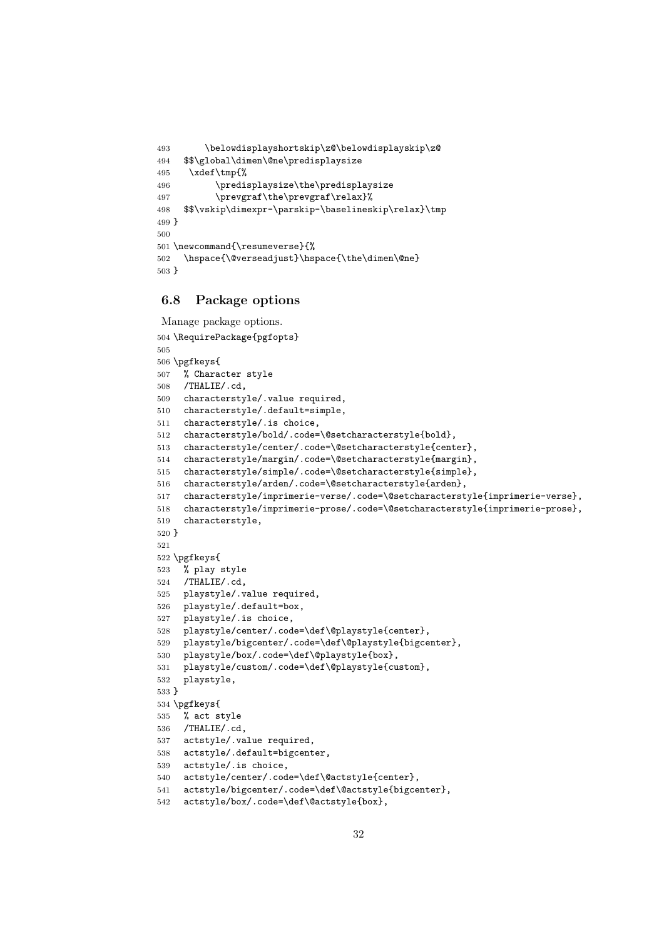```
493 \belowdisplayshortskip\z@\belowdisplayskip\z@
494 $$\global\dimen\@ne\predisplaysize
495 \xdef\tmp{%
496 \predisplaysize\the\predisplaysize
497 \prevgraf\the\prevgraf\relax}%
498 $$\vskip\dimexpr-\parskip-\baselineskip\relax}\tmp
499 }
500
501 \newcommand{\resumeverse}{%
502 \hspace{\@verseadjust}\hspace{\the\dimen\@ne}
503 }
```
#### <span id="page-31-0"></span>6.8 Package options

```
Manage package options.
```

```
504 \RequirePackage{pgfopts}
505
506 \pgfkeys{
507 % Character style
508 /THALIE/.cd,
509 characterstyle/.value required,
510 characterstyle/.default=simple,
511 characterstyle/.is choice,
512 characterstyle/bold/.code=\@setcharacterstyle{bold},
513 characterstyle/center/.code=\@setcharacterstyle{center},
514 characterstyle/margin/.code=\@setcharacterstyle{margin},
515 characterstyle/simple/.code=\@setcharacterstyle{simple},
516 characterstyle/arden/.code=\@setcharacterstyle{arden},
517 characterstyle/imprimerie-verse/.code=\@setcharacterstyle{imprimerie-verse},
518 characterstyle/imprimerie-prose/.code=\@setcharacterstyle{imprimerie-prose},
519 characterstyle,
520 }
521
522 \pgfkeys{
523 % play style
524 /THALIE/.cd,
525 playstyle/.value required,
526 playstyle/.default=box,
527 playstyle/.is choice,
528 playstyle/center/.code=\def\@playstyle{center},
529 playstyle/bigcenter/.code=\def\@playstyle{bigcenter},
530 playstyle/box/.code=\def\@playstyle{box},
531 playstyle/custom/.code=\def\@playstyle{custom},
532 playstyle,
533 }
534 \pgfkeys{
535 % act style
536 /THALIE/.cd,
537 actstyle/.value required,
538 actstyle/.default=bigcenter,
539 actstyle/.is choice,
540 actstyle/center/.code=\def\@actstyle{center},
541 actstyle/bigcenter/.code=\def\@actstyle{bigcenter},
```

```
542 actstyle/box/.code=\def\@actstyle{box},
```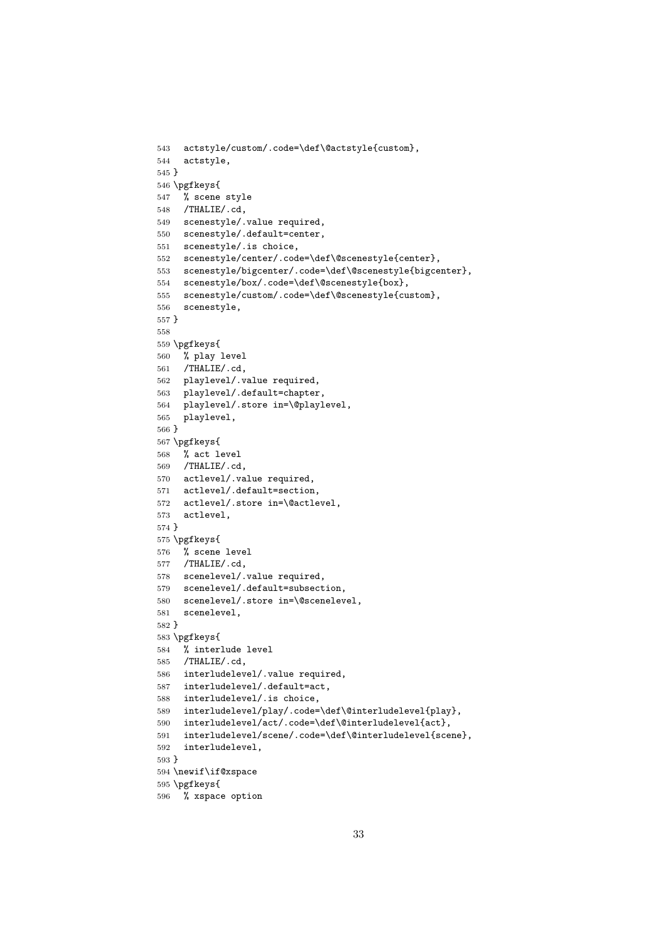```
543 actstyle/custom/.code=\def\@actstyle{custom},
544 actstyle,
545 }
546 \pgfkeys{
547 % scene style
548 /THALIE/.cd,
549 scenestyle/.value required,
550 scenestyle/.default=center,
551 scenestyle/.is choice,
552 scenestyle/center/.code=\def\@scenestyle{center},
553 scenestyle/bigcenter/.code=\def\@scenestyle{bigcenter},
554 scenestyle/box/.code=\def\@scenestyle{box},
555 scenestyle/custom/.code=\def\@scenestyle{custom},
556 scenestyle,
557 }
558
559 \pgfkeys{
560 % play level
561 /THALIE/.cd,
562 playlevel/.value required,
563 playlevel/.default=chapter,
564 playlevel/.store in=\@playlevel,
565 playlevel,
566 }
567 \pgfkeys{
568 % act level
569 /THALIE/.cd,
570 actlevel/.value required,
571 actlevel/.default=section,
572 actlevel/.store in=\@actlevel,
573 actlevel,
574 }
575 \pgfkeys{
576 % scene level
577 /THALIE/.cd,
578 scenelevel/.value required,
579 scenelevel/.default=subsection,
580 scenelevel/.store in=\@scenelevel,
581 scenelevel,
582 }
583 \pgfkeys{
584 % interlude level
585 /THALIE/.cd,
586 interludelevel/.value required,
587 interludelevel/.default=act,
588 interludelevel/.is choice,
589 interludelevel/play/.code=\def\@interludelevel{play},
590 interludelevel/act/.code=\def\@interludelevel{act},
591 interludelevel/scene/.code=\def\@interludelevel{scene},
592 interludelevel,
593 }
594 \newif\if@xspace
595 \pgfkeys{
```

```
596 % xspace option
```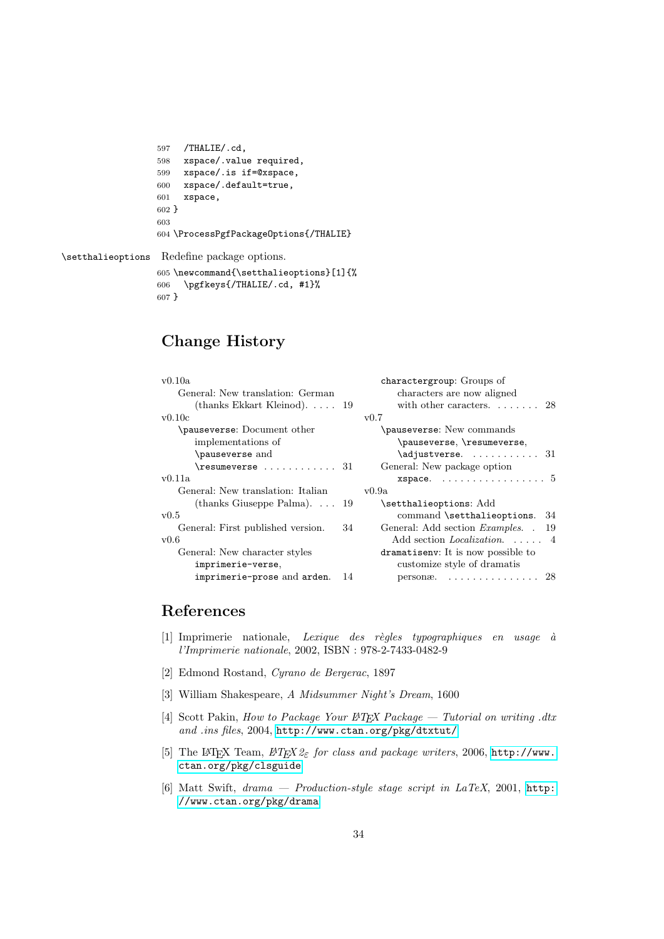```
597 /THALIE/.cd,
598 xspace/.value required,
599 xspace/.is if=@xspace,
600 xspace/.default=true,
601 xspace,
602 }
603
604 \ProcessPgfPackageOptions{/THALIE}
```
\setthalieoptions Redefine package options.

```
605 \newcommand{\setthalieoptions}[1]{%
606 \pgfkeys{/THALIE/.cd, #1}%
607 }
```
## Change History

|                                           | charactergroup: Groups of                      |
|-------------------------------------------|------------------------------------------------|
|                                           | characters are now aligned                     |
| (thanks Ekkart Kleinod). $\ldots$ 19      | with other caracters $28$                      |
|                                           | v0.7                                           |
|                                           | \pauseverse: New commands                      |
|                                           | \pauseverse, \resumeverse,                     |
|                                           | $\alpha$ justverse.  31                        |
| $\text{Yesumeverse} \dots \dots \dots 31$ | General: New package option                    |
|                                           | xspace. $\ldots \ldots \ldots \ldots \ldots 5$ |
|                                           | v0.9a                                          |
| (thanks Giuseppe Palma) $19$              | \setthalieoptions: Add                         |
|                                           | command \setthalieoptions. 34                  |
| 34                                        | General: Add section <i>Examples.</i> .<br>19  |
|                                           | Add section <i>Localization.</i> 4             |
|                                           | dramatisenv: It is now possible to             |
|                                           | customize style of dramatis                    |
| -14                                       | personæ. $\ldots \ldots \ldots \ldots 28$      |
|                                           |                                                |

## <span id="page-33-0"></span>References

- <span id="page-33-6"></span> $[1]$  Imprimerie nationale, Lexique des règles typographiques en usage à l'Imprimerie nationale, 2002, ISBN : 978-2-7433-0482-9
- <span id="page-33-4"></span>[2] Edmond Rostand, Cyrano de Bergerac, 1897
- <span id="page-33-5"></span>[3] William Shakespeare, A Midsummer Night's Dream, 1600
- <span id="page-33-2"></span>[4] Scott Pakin, How to Package Your LATEX Package — Tutorial on writing .dtx and .ins files, 2004, <http://www.ctan.org/pkg/dtxtut/>
- <span id="page-33-3"></span>[5] The LAT<sub>E</sub>X Team,  $\cancel{B}$ T<sub>E</sub>X  $\mathcal{Z}_{\varepsilon}$  for class and package writers, 2006, [http://www.](http://www.ctan.org/pkg/clsguide) [ctan.org/pkg/clsguide](http://www.ctan.org/pkg/clsguide)
- <span id="page-33-1"></span>[6] Matt Swift,  $drama - Production-style stage script in LaTeX, 2001, http:$  $drama - Production-style stage script in LaTeX, 2001, http:$ [//www.ctan.org/pkg/drama](http://www.ctan.org/pkg/drama)